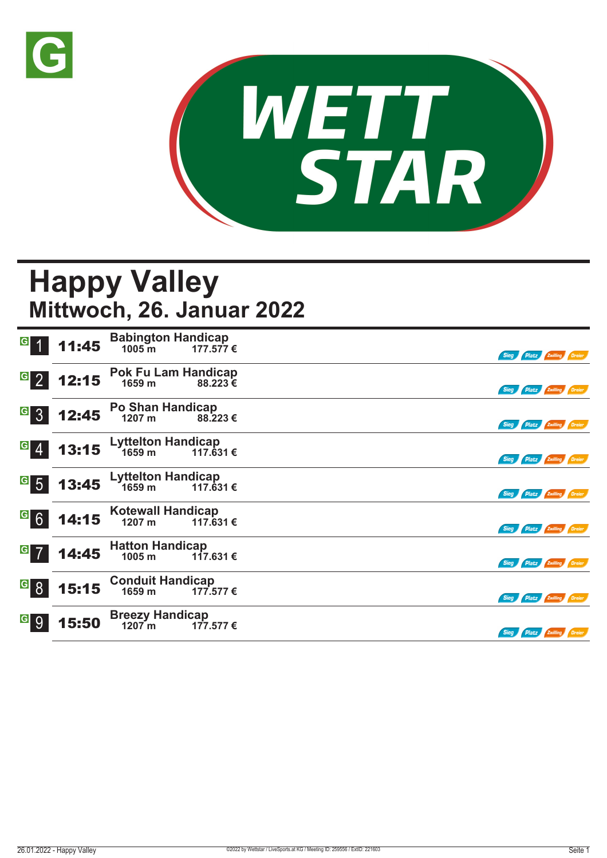



## **Happy Valley Mittwoch, 26. Januar 2022**

| G                                | 11:45 | <b>Babington Handicap</b><br>$1005 \,\mathrm{m}$<br>177.577€ | Sieg Platz Zwilling Dreier |
|----------------------------------|-------|--------------------------------------------------------------|----------------------------|
| $G_{2}$                          | 12:15 | <b>Pok Fu Lam Handicap</b><br>1659 m<br>88.223€              | Sieg Platz Zwilling Dreier |
| <sup>G</sup> 3                   | 12:45 | <b>Po Shan Handicap</b><br>1207 m<br>88.223€                 | Sieg Platz Zwilling Dreier |
| $\overline{G}$<br>$\overline{4}$ | 13:15 | <b>Lyttelton Handicap</b><br>1659 m<br>117.631 €             | Sieg Platz Zwilling Dreier |
| $\overline{\phantom{a}}$ 5       | 13:45 | <b>Lyttelton Handicap</b><br>1659 <sub>m</sub><br>117.631 €  | Sieg Platz Zwilling Dreier |
| <sup>G</sup> 6                   | 14:15 | <b>Kotewall Handicap</b><br>1207 m<br>117.631 €              | Sieg Platz Zwilling Dreier |
| $G$ 7                            | 14:45 | <b>Hatton Handicap</b><br>1005 m<br>117.631€                 | Sieg Platz Zwilling Dreier |
| <sup>G</sup> 8                   | 15:15 | <b>Conduit Handicap</b><br>1659 m<br>177.577 €               | Sieg Platz Zwilling Dreier |
| <sup>G</sup> 9                   | 15:50 | <b>Breezy Handicap</b><br>1207m<br>177.577 €                 | Sieg Platz Zwilling Dreier |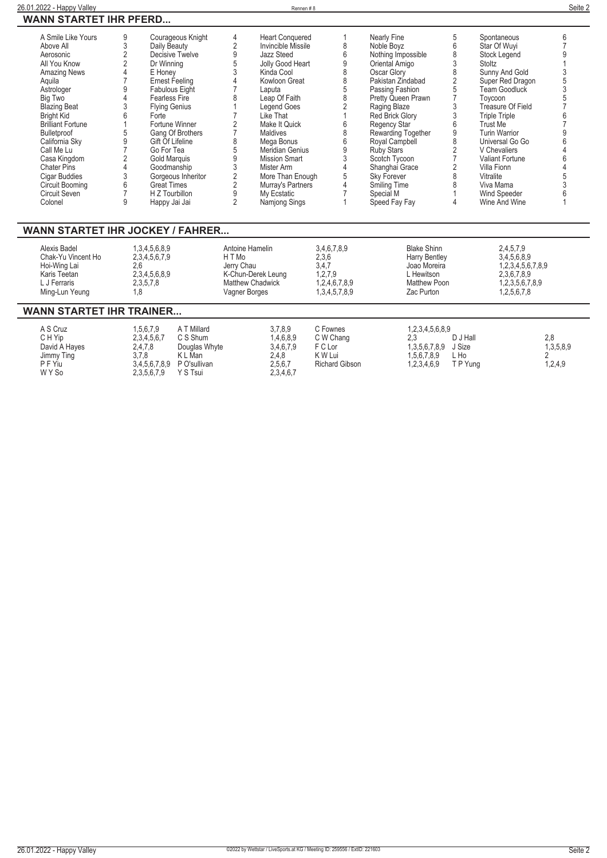| 1000 - 1000 - 1000 - 1000 - 1000 - 1000 - 1100 - 1100 - 1110 - 1110 - 1110 - 111 |   |                       |   |                        |                     |   |                      |  |
|----------------------------------------------------------------------------------|---|-----------------------|---|------------------------|---------------------|---|----------------------|--|
| A Smile Like Yours                                                               | 9 | Courageous Knight     | 4 | <b>Heart Conquered</b> | Nearly Fine         |   | Spontaneous          |  |
| Above All                                                                        |   | Daily Beauty          |   | Invincible Missile     | Noble Bovz          | h | Star Of Wuvi         |  |
| Aerosonic                                                                        |   | Decisive Twelve       |   | Jazz Steed             | Nothing Impossible  |   | Stock Legend         |  |
| All You Know                                                                     |   | Dr Winning            |   | Jolly Good Heart       | Oriental Amigo      |   | Stoltz               |  |
| <b>Amazing News</b>                                                              |   | E Honey               |   | Kinda Cool             | Oscar Glory         |   | Sunny And Gold       |  |
| Aquila                                                                           |   | Ernest Feeling        |   | Kowloon Great          | Pakistan Zindabad   |   | Super Red Dragon     |  |
| Astrologer                                                                       |   | <b>Fabulous Eight</b> |   | Laputa                 | Passing Fashion     |   | Team Goodluck        |  |
| Big Two                                                                          |   | Fearless Fire         |   | Leap Of Faith          | Pretty Queen Prawn  |   | Toycoon              |  |
| <b>Blazing Beat</b>                                                              |   | <b>Flying Genius</b>  |   | Legend Goes            | Raging Blaze        |   | Treasure Of Field    |  |
| <b>Bright Kid</b>                                                                |   | Forte                 |   | Like That              | Red Brick Glory     |   | <b>Triple Triple</b> |  |
| <b>Brilliant Fortune</b>                                                         |   | Fortune Winner        |   | Make It Quick          | <b>Regency Star</b> |   | Trust Me             |  |
| <b>Bulletproof</b>                                                               | 5 | Gang Of Brothers      |   | Maldives               | Rewarding Together  |   | <b>Turin Warrior</b> |  |
| California Sky                                                                   |   | Gift Of Lifeline      |   | Mega Bonus             | Royal Campbell      |   | Universal Go Go      |  |
| Call Me Lu                                                                       |   | Go For Tea            |   | <b>Meridian Genius</b> | <b>Ruby Stars</b>   |   | V Chevaliers         |  |
| Casa Kingdom                                                                     |   | Gold Marquis          |   | <b>Mission Smart</b>   | Scotch Tycoon       |   | Valiant Fortune      |  |
| <b>Chater Pins</b>                                                               |   | Goodmanship           |   | Mister Arm             | Shanghai Grace      |   | Villa Fionn          |  |
| Cigar Buddies                                                                    |   | Gorgeous Inheritor    |   | More Than Enough       | <b>Sky Forever</b>  |   | Vitralite            |  |
| Circuit Booming                                                                  | 6 | <b>Great Times</b>    |   | Murray's Partners      | Smiling Time        |   | Viva Mama            |  |
| Circuit Seven                                                                    |   | H Z Tourbillon        |   | My Ecstatic            | Special M           |   | Wind Speeder         |  |
| Colonel                                                                          | 9 | Happy Jai Jai         |   | Namjong Sings          | Speed Fay Fay       |   | Wine And Wine        |  |
|                                                                                  |   |                       |   |                        |                     |   |                      |  |

### **WANN STARTET IHR JOCKEY / FAHRER...**

| Alexis Badel       | 1,3,4,5,6,8,9 | Antoine Hamelin    | 3,4,6,7,8,9   | <b>Blake Shinn</b>  | 2,4,5,7,9         |
|--------------------|---------------|--------------------|---------------|---------------------|-------------------|
| Chak-Yu Vincent Ho | 2,3,4,5,6,7,9 | H T Mo             | 2,3,6         | Harry Bentley       | 3.4,5,6,8,9       |
| Hoi-Wing Lai       |               | Jerry Chau         | 3,4,7         | Joao Moreira        | 1,2,3,4,5,6,7,8,9 |
| Karis Teetan       | 2,3,4,5,6,8,9 | K-Chun-Derek Leung | 1,2,7,9       | . Hewitson          | 2,3,6,7,8,9       |
| L J Ferraris       | 2,3,5,7,8     | Matthew Chadwick   | 1,2,4,6,7,8,9 | <b>Matthew Poon</b> | 1,2,3,5,6,7,8,9   |
| Ming-Lun Yeung     |               | Vagner Borges      | 1,3,4,5,7,8,9 | Zac Purton          | 1,2,5,6,7,8       |

## **WANN STARTET IHR TRAINER...**

| A S Cruz<br>C H Yip<br>David A Hayes<br>Jimmy Ting<br>P F Yiu | .5.6.7.9<br>2.3.4.5.6.7<br>2.4.7.8<br>3.7.8<br>3.4.5.6.7.8.9 | <b>Millard</b><br>AI<br>C S Shum<br>Douglas Whyte<br>K L Man<br>P O'sullivan | 3.7.8.9<br>1,4,6,8,9<br>3,4,6,7,9<br>2,4,8<br>2,5,6,7 | C Fownes<br>C W Chang<br>F C Lor<br>K W Lui<br><b>Richard Gibson</b> | 1.2.3.4.5.6.8.9<br>2.3<br>1,3,5,6,7,8,9<br>1.5.6.7.8.9<br>1,2,3,4,6,9 | D J Hall<br>J Size<br>∟ Ho<br>T P Yung | 2.8<br>1,3,5,8,9<br>1,2,4,9 |
|---------------------------------------------------------------|--------------------------------------------------------------|------------------------------------------------------------------------------|-------------------------------------------------------|----------------------------------------------------------------------|-----------------------------------------------------------------------|----------------------------------------|-----------------------------|
| W Y So                                                        | 2,3,5,6,7,9                                                  | Y S Tsui                                                                     | 2,3,4,6,7                                             |                                                                      |                                                                       |                                        |                             |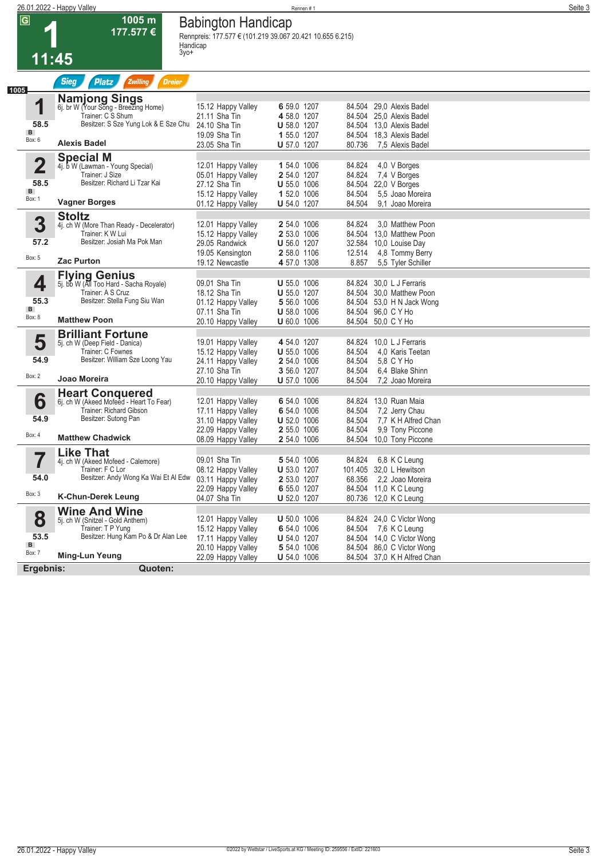**1005 m 177.577 €**

## **26.01.2022 - Happy Valley** Rennen # 1 **Seite 3 Babington Handicap**

**Rennpreis: 177.577 € (101.219 39.067 20.421 10.655 6.215) Handicap 3yo+** 

**1 11:45**

| <b>Sieg</b><br><b>Platz</b><br>Zwilling<br><b>Dreier</b>                                                                                               |                                                                                                            |                                                                                                        |                                                                |                                                                                                                              |
|--------------------------------------------------------------------------------------------------------------------------------------------------------|------------------------------------------------------------------------------------------------------------|--------------------------------------------------------------------------------------------------------|----------------------------------------------------------------|------------------------------------------------------------------------------------------------------------------------------|
| <b>Namjong Sings</b><br>6j. br W (Your Song - Breezing Home)<br>Trainer: C S Shum<br>Besitzer: S Sze Yung Lok & E Sze Chu<br><b>Alexis Badel</b>       | 15.12 Happy Valley<br>21.11 Sha Tin<br>24.10 Sha Tin<br>19.09 Sha Tin<br>23.05 Sha Tin                     | 6 59.0 1207<br>4 58.0 1207<br><b>U</b> 58.0 1207<br>1 55.0 1207<br><b>U</b> 57.0 1207                  | 84.504<br>84.504<br>84.504<br>80.736                           | 29,0 Alexis Badel<br>84.504 25,0 Alexis Badel<br>13.0 Alexis Badel<br>18,3 Alexis Badel<br>7.5 Alexis Badel                  |
| <b>Special M</b><br>4j. b W (Lawman - Young Special)<br>Trainer: J Size<br>Besitzer: Richard Li Tzar Kai                                               | 12.01 Happy Valley<br>05.01 Happy Valley<br>27.12 Sha Tin<br>15.12 Happy Valley                            | 1 54.0 1006<br>2 54.0 1207<br><b>U</b> 55.0 1006<br>1 52.0 1006                                        | 84.824<br>84.824<br>84.504<br>84.504                           | 4,0 V Borges<br>7,4 V Borges<br>22,0 V Borges<br>5.5 Joao Moreira                                                            |
| <b>Stoltz</b><br>4j. ch W (More Than Ready - Decelerator)<br>Trainer: KW Lui<br>Besitzer: Josiah Ma Pok Man<br><b>Zac Purton</b>                       | 12.01 Happy Valley<br>15.12 Happy Valley<br>29.05 Randwick<br>19.05 Kensington<br>19.12 Newcastle          | 2 54.0 1006<br>2 53.0 1006<br><b>U</b> 56.0 1207<br>2 58.0 1106<br>4 57.0 1308                         | 84.824<br>84.504<br>32.584<br>12.514<br>8.857                  | 9.1 Joao Moreira<br>3.0 Matthew Poon<br>13.0 Matthew Poon<br>10,0 Louise Day<br>4,8 Tommy Berry<br>5.5 Tyler Schiller        |
| <b>Flying Genius</b><br>5j. bb W (All Too Hard - Sacha Royale)<br>Trainer: A S Cruz<br>Besitzer: Stella Fung Siu Wan<br><b>Matthew Poon</b>            | 09.01 Sha Tin<br>18.12 Sha Tin<br>01.12 Happy Valley<br>07.11 Sha Tin                                      | <b>U</b> 55.0 1006<br><b>U</b> 55.0 1207<br>5 56.0 1006<br><b>U</b> 58.0 1006                          | 84.824<br>84.504<br>84.504 96,0 C Y Ho                         | 30.0 L J Ferraris<br>30.0 Matthew Poon<br>84.504 53.0 H N Jack Wong                                                          |
| <b>Brilliant Fortune</b><br>5j. ch W (Deep Field - Danica)<br>Trainer: C Fownes<br>Besitzer: William Sze Loong Yau<br>Joao Moreira                     | 19.01 Happy Valley<br>15.12 Happy Valley<br>24.11 Happy Valley<br>27.10 Sha Tin                            | 4 54.0 1207<br><b>U</b> 55.0 1006<br>2 54.0 1006<br>3 56.0 1207                                        | 84.824<br>84.504<br>84.504<br>84.504                           | 10,0 L J Ferraris<br>4,0 Karis Teetan<br>5.8 C Y Ho<br>6.4 Blake Shinn<br>7,2 Joao Moreira                                   |
| <b>Heart Conquered</b><br>6j. ch W (Akeed Mofeed - Heart To Fear)<br><b>Trainer: Richard Gibson</b><br>Besitzer: Sutong Pan<br><b>Matthew Chadwick</b> | 12.01 Happy Valley<br>17.11 Happy Valley<br>31.10 Happy Valley<br>22.09 Happy Valley<br>08.09 Happy Valley | 6 54.0 1006<br>6 54.0 1006<br><b>U</b> 52.0 1006<br>2 55.0 1006<br>2 54.0 1006                         | 84.824<br>84.504<br>84.504<br>84.504<br>84.504                 | 13,0 Ruan Maia<br>7,2 Jerry Chau<br>7.7 K H Alfred Chan<br>9.9 Tony Piccone<br>10,0 Tony Piccone                             |
| <b>Like That</b><br>4j. ch W (Akeed Mofeed - Calemore)<br>Trainer: F C Lor<br><b>K-Chun-Derek Leung</b>                                                | 09.01 Sha Tin<br>08.12 Happy Valley<br>03.11 Happy Valley<br>22.09 Happy Valley<br>04.07 Sha Tin           | 5 54.0 1006<br><b>U</b> 53.0 1207<br>2 53.0 1207<br>6 55.0 1207<br><b>U</b> 52.0 1207                  | 84.824<br>101.405<br>68.356                                    | 6,8 K C Leung<br>32.0 L Hewitson<br>2,2 Joao Moreira<br>84.504 11,0 K C Leung<br>80.736 12,0 K C Leung                       |
| <b>Wine And Wine</b><br>5j. ch W (Snitzel - Gold Anthem)<br>Trainer: T P Yung<br>Besitzer: Hung Kam Po & Dr Alan Lee<br>Ming-Lun Yeung<br>Quoten:      | 12.01 Happy Valley<br>15.12 Happy Valley<br>17.11 Happy Valley<br>20.10 Happy Valley<br>22.09 Happy Valley | <b>U</b> 50.0 1006<br>6 54.0 1006<br><b>U</b> 54.0 1207<br>5 54.0 1006<br><b>U</b> 54.0 1006           | 84.504<br>84.504                                               | 84.824 24,0 C Victor Wong<br>7,6 K C Leung<br>84.504 14,0 C Victor Wong<br>84.504 86,0 C Victor Wong<br>37,0 K H Alfred Chan |
| 57.2<br>53.5                                                                                                                                           | <b>Vagner Borges</b><br>Ergebnis:                                                                          | 01.12 Happy Valley<br>20.10 Happy Valley<br>20.10 Happy Valley<br>Besitzer: Andy Wong Ka Wai Et Al Edw | <b>U</b> 54.0 1207<br><b>U</b> 60.0 1006<br><b>U</b> 57.0 1006 | 84.504<br>84.504 50,0 C Y Ho<br>84.504                                                                                       |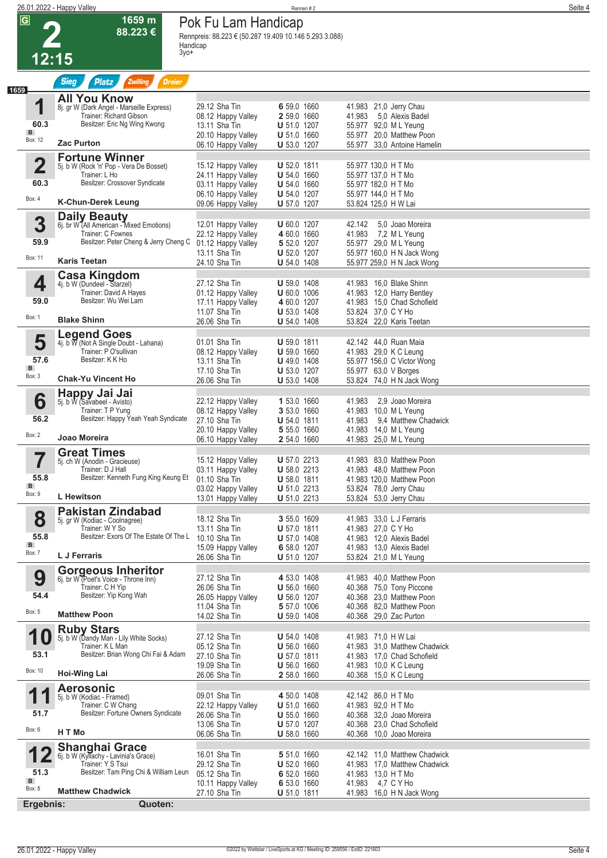| $\overline{G}$          | 1659 m<br>88.223€                                                                    | Pok Fu Lam Handicap                                                |                                          |                                                            |  |
|-------------------------|--------------------------------------------------------------------------------------|--------------------------------------------------------------------|------------------------------------------|------------------------------------------------------------|--|
|                         |                                                                                      | Rennpreis: 88.223 € (50.287 19.409 10.146 5.293 3.088)<br>Handicap |                                          |                                                            |  |
| 12:15                   | 3уо+                                                                                 |                                                                    |                                          |                                                            |  |
|                         |                                                                                      |                                                                    |                                          |                                                            |  |
| 1659                    | <b>Sieg</b><br><b>Platz</b><br>Zwilling<br><b>Dreier</b>                             |                                                                    |                                          |                                                            |  |
| 1                       | <b>All You Know</b><br>8j. gr W (Dark Angel - Marseille Express)                     | 29.12 Sha Tin                                                      | 6 59.0 1660                              | 41.983 21.0 Jerry Chau                                     |  |
| 60.3                    | Trainer: Richard Gibson<br>Besitzer: Eric Ng Wing Kwong                              | 08.12 Happy Valley<br>13.11 Sha Tin                                | 2 59.0 1660<br><b>U</b> 51.0 1207        | 41.983<br>5.0 Alexis Badel<br>55.977 92,0 ML Yeung         |  |
| B<br>Box: 12            |                                                                                      | 20.10 Happy Valley                                                 | <b>U</b> 51.0 1660                       | 55.977 20.0 Matthew Poon                                   |  |
|                         | <b>Zac Purton</b>                                                                    | 06.10 Happy Valley                                                 | U 53.0 1207                              | 55.977 33,0 Antoine Hamelin                                |  |
| $\overline{\mathbf{2}}$ | <b>Fortune Winner</b><br>5j. b W (Rock 'n' Pop - Vera De Bosset)                     | 15.12 Happy Valley                                                 | <b>U</b> 52.0 1811                       | 55.977 130,0 H T Mo                                        |  |
| 60.3                    | Trainer: L Ho<br>Besitzer: Crossover Syndicate                                       | 24.11 Happy Valley<br>03.11 Happy Valley                           | <b>U</b> 54.0 1660<br><b>U</b> 54.0 1660 | 55.977 137,0 H T Mo<br>55.977 182,0 H T Mo                 |  |
| Box: 4                  | <b>K-Chun-Derek Leung</b>                                                            | 06.10 Happy Valley                                                 | <b>U</b> 54.0 1207                       | 55.977 144,0 H T Mo<br>53.824 125.0 H W Lai                |  |
|                         |                                                                                      | 09.06 Happy Valley                                                 | <b>U</b> 57.0 1207                       |                                                            |  |
| 3                       | <b>Daily Beauty</b><br>6j. br W (All American - Mixed Emotions)<br>Trainer: C Fownes | 12.01 Happy Valley<br>22.12 Happy Valley                           | <b>U</b> 60.0 1207<br>4 60.0 1660        | 42.142<br>5.0 Joao Moreira<br>41.983 7,2 ML Yeung          |  |
| 59.9                    | Besitzer: Peter Cheng & Jerry Cheng C                                                | 01.12 Happy Valley                                                 | 5 52.0 1207                              | 55.977 29,0 ML Yeung                                       |  |
| Box: 11                 | <b>Karis Teetan</b>                                                                  | 13.11 Sha Tin<br>24.10 Sha Tin                                     | <b>U</b> 52.0 1207<br><b>U</b> 54.0 1408 | 55.977 160,0 H N Jack Wong<br>55.977 259,0 H N Jack Wong   |  |
|                         | Casa Kingdom                                                                         |                                                                    |                                          |                                                            |  |
| 4                       | 4j. b W (Dundeel - Starzel)<br>Trainer: David A Hayes                                | 27.12 Sha Tin<br>01.12 Happy Valley                                | U 59.0 1408<br><b>U</b> 60.0 1006        | 41.983 16.0 Blake Shinn<br>41.983 12,0 Harry Bentley       |  |
| 59.0                    | Besitzer: Wu Wei Lam                                                                 | 17.11 Happy Valley<br>11.07 Sha Tin                                | 4 60.0 1207<br><b>U</b> 53.0 1408        | 41.983 15,0 Chad Schofield<br>53.824 37,0 C Y Ho           |  |
| Box: 1                  | <b>Blake Shinn</b>                                                                   | 26.06 Sha Tin                                                      | <b>U</b> 54.0 1408                       | 53.824 22,0 Karis Teetan                                   |  |
| 5                       | <b>Legend Goes</b><br>4j. b $\overline{M}$ (Not A Single Doubt - Lahana)             | 01.01 Sha Tin                                                      | <b>U</b> 59.0 1811                       | 42.142 44,0 Ruan Maia                                      |  |
| 57.6                    | Trainer: P O'sullivan<br>Besitzer: K K Ho                                            | 08.12 Happy Valley                                                 | U 59.0 1660                              | 41.983 29,0 K C Leung                                      |  |
| B<br>Box: 3             |                                                                                      | 13.11 Sha Tin<br>17.10 Sha Tin                                     | <b>U</b> 49.0 1408<br><b>U</b> 53.0 1207 | 55.977 156,0 C Victor Wong<br>55.977 63,0 V Borges         |  |
|                         | <b>Chak-Yu Vincent Ho</b>                                                            | 26.06 Sha Tin                                                      | U 53.0 1408                              | 53.824 74,0 H N Jack Wong                                  |  |
| 6                       | Happy Jai Jai<br>5j. b W (Savabeel - Avisto)                                         | 22.12 Happy Valley                                                 | 1 53.0 1660                              | 41.983<br>2,9 Joao Moreira                                 |  |
| 56.2                    | Trainer: TP Yung<br>Besitzer: Happy Yeah Yeah Syndicate                              | 08.12 Happy Valley<br>27.10 Sha Tin                                | 3 53.0 1660<br>$U 54.0 1811$             | 41.983 10.0 ML Yeung<br>9.4 Matthew Chadwick<br>41.983     |  |
| Box: 2                  | Joao Moreira                                                                         | 20.10 Happy Valley<br>06.10 Happy Valley                           | 5 55.0 1660<br>2 54.0 1660               | 41.983 14,0 ML Yeung<br>41.983 25,0 ML Yeung               |  |
| 7                       | <b>Great Times</b>                                                                   |                                                                    |                                          |                                                            |  |
|                         | 5j. ch W (Anodin - Gracieuse)<br>Trainer: D J Hall                                   | 15.12 Happy Valley<br>03.11 Happy Valley                           | U 57.0 2213<br><b>U</b> 58.0 2213        | 41.983 83,0 Matthew Poon<br>41.983 48,0 Matthew Poon       |  |
| 55.8<br>$\mathbf{B}$    | Besitzer: Kenneth Fung King Keung Et 01.10 Sha Tin                                   |                                                                    | <b>U</b> 58.0 1811                       | 41.983 120,0 Matthew Poon                                  |  |
| Box: 9                  | L Hewitson                                                                           | 03.02 Happy Valley<br>13.01 Happy Valley                           | <b>U</b> 51.0 2213<br><b>U</b> 51.0 2213 | 53.824 78.0 Jerry Chau<br>53.824 53,0 Jerry Chau           |  |
| 8                       | <b>Pakistan Zindabad</b>                                                             | 18.12 Sha Tin                                                      | 3 55.0 1609                              | 41.983 33,0 L J Ferraris                                   |  |
|                         | 5j. gr W (Kodiac - Coolnagree)<br>Trainer: W Y So                                    | 13.11 Sha Tin                                                      | <b>U</b> 57.0 1811                       | 41.983 27,0 C Y Ho                                         |  |
| 55.8<br>B               | Besitzer: Exors Of The Estate Of The L                                               | 10.10 Sha Tin<br>15.09 Happy Valley                                | <b>U</b> 57.0 1408<br>6 58.0 1207        | 41.983 12.0 Alexis Badel<br>41.983 13,0 Alexis Badel       |  |
| Box: 7                  | L J Ferraris                                                                         | 26.06 Sha Tin                                                      | <b>U</b> 51.0 1207                       | 53.824 21,0 ML Yeung                                       |  |
| 9                       | <b>Gorgeous Inheritor</b><br>6j. br W (Poet's Voice - Throne Inn)                    | 27.12 Sha Tin                                                      | 4 53.0 1408                              | 41.983 40,0 Matthew Poon                                   |  |
| 54.4                    | Trainer: C H Yip<br>Besitzer: Yip Kong Wah                                           | 26.06 Sha Tin<br>26.05 Happy Valley                                | U 56.0 1660<br><b>U</b> 56.0 1207        | 40.368 75,0 Tony Piccone<br>40.368 23.0 Matthew Poon       |  |
| Box: 5                  |                                                                                      | 11.04 Sha Tin                                                      | 5 57.0 1006                              | 40.368 82,0 Matthew Poon                                   |  |
|                         | <b>Matthew Poon</b><br><b>Ruby Stars</b>                                             | 14.02 Sha Tin                                                      | <b>U</b> 59.0 1408                       | 40.368 29,0 Zac Purton                                     |  |
| 10                      | 5j. b W (Dandy Man - Lily White Socks)<br>Trainer: K L Man                           | 27.12 Sha Tin                                                      | <b>U</b> 54.0 1408                       | 41.983 71,0 H W Lai                                        |  |
| 53.1                    | Besitzer: Brian Wong Chi Fai & Adam                                                  | 05.12 Sha Tin<br>27.10 Sha Tin                                     | <b>U</b> 56.0 1660<br><b>U</b> 57.0 1811 | 41.983 31,0 Matthew Chadwick<br>41.983 17,0 Chad Schofield |  |
| Box: 10                 | <b>Hoi-Wing Lai</b>                                                                  | 19.09 Sha Tin<br>26.06 Sha Tin                                     | <b>U</b> 56.0 1660<br>2 58.0 1660        | 41.983 10,0 K C Leung<br>40.368 15,0 K C Leung             |  |
|                         | <b>Aerosonic</b>                                                                     |                                                                    |                                          |                                                            |  |
| 1                       | 5j. b W (Kodiac - Framed)<br>Trainer: C W Chang                                      | 09.01 Sha Tin<br>22.12 Happy Valley                                | 4 50.0 1408<br><b>U</b> 51.0 1660        | 42.142 86,0 H T Mo<br>41.983 92,0 H T Mo                   |  |
| 51.7                    | Besitzer: Fortune Owners Syndicate                                                   | 26.06 Sha Tin<br>13.06 Sha Tin                                     | <b>U</b> 55.0 1660<br><b>U</b> 57.0 1207 | 40.368 32,0 Joao Moreira<br>40.368 23,0 Chad Schofield     |  |
| Box: 6                  | H T Mo                                                                               | 06.06 Sha Tin                                                      | <b>U</b> 58.0 1660                       | 40.368 10,0 Joao Moreira                                   |  |
|                         | <b>Shanghai Grace</b> 6j. b W (Kyllachy - Lavinia's Grace)                           | 16.01 Sha Tin                                                      | 5 51.0 1660                              | 42.142 11,0 Matthew Chadwick                               |  |
| 51.3                    | Trainer: Y S Tsui<br>Besitzer: Tam Ping Chi & William Leun                           | 29.12 Sha Tin                                                      | <b>U</b> 52.0 1660                       | 41.983 17,0 Matthew Chadwick                               |  |
| B                       |                                                                                      | 05.12 Sha Tin<br>10.11 Happy Valley                                | 6 52.0 1660<br>6 53.0 1660               | 41.983 13,0 H T Mo<br>41.983 4,7 C Y Ho                    |  |
| Box: 8<br>Ergebnis:     | <b>Matthew Chadwick</b><br>Quoten:                                                   | 27.10 Sha Tin                                                      | <b>U</b> 51.0 1811                       | 41.983 16,0 H N Jack Wong                                  |  |
|                         |                                                                                      |                                                                    |                                          |                                                            |  |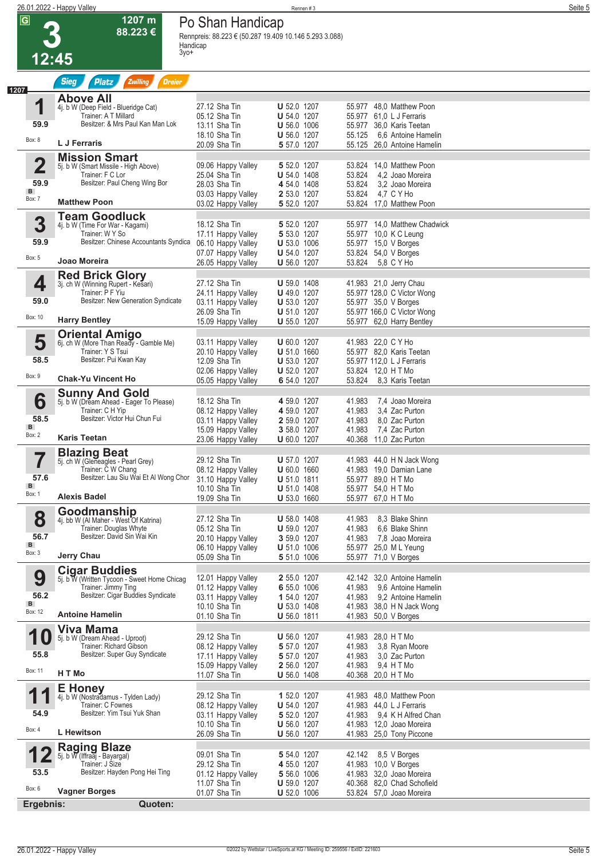# **12:45**

**1207 m 88.223 €**

## **Po Shan Handicap**

|                         | <b>Sieg</b><br>Zwilling<br><b>Dreier</b><br><b>Platz</b>                       |                                          |                                          |                                                              |  |
|-------------------------|--------------------------------------------------------------------------------|------------------------------------------|------------------------------------------|--------------------------------------------------------------|--|
|                         | <b>Above All</b>                                                               |                                          |                                          |                                                              |  |
| 1                       | 4j. b W (Deep Field - Blueridge Cat)<br>Trainer: A T Millard                   | 27.12 Sha Tin<br>05.12 Sha Tin           | U 52.0 1207<br><b>U</b> 54.0 1207        | 55.977 48.0 Matthew Poon<br>55.977 61,0 L J Ferraris         |  |
| 59.9                    | Besitzer: & Mrs Paul Kan Man Lok                                               | 13.11 Sha Tin<br>18.10 Sha Tin           | <b>U</b> 56.0 1006<br><b>U</b> 56.0 1207 | 55.977 36,0 Karis Teetan<br>55.125<br>6.6 Antoine Hamelin    |  |
| Box: 8                  | L J Ferraris                                                                   | 20.09 Sha Tin                            | 5 57.0 1207                              | 55.125 26,0 Antoine Hamelin                                  |  |
| $\overline{\mathbf{2}}$ | <b>Mission Smart</b><br>5j. b W (Smart Missile - High Above)                   | 09.06 Happy Valley                       | 5 52.0 1207                              | 53.824 14,0 Matthew Poon                                     |  |
| 59.9                    | Trainer: F C Lor<br>Besitzer: Paul Cheng Wing Bor                              | 25.04 Sha Tin                            | <b>U</b> 54.0 1408                       | 53.824<br>4,2 Joao Moreira                                   |  |
| Box: 7                  |                                                                                | 28.03 Sha Tin<br>03.03 Happy Valley      | 4 54.0 1408<br>2 53.0 1207               | 53.824<br>3.2 Joao Moreira<br>53.824 4,7 C Y Ho              |  |
|                         | <b>Matthew Poon</b>                                                            | 03.02 Happy Valley                       | 5 52.0 1207                              | 53.824 17,0 Matthew Poon                                     |  |
| 3                       | <b>Team Goodluck</b><br>4j. b W (Time For War - Kagami)                        | 18.12 Sha Tin                            | 5 52.0 1207                              | 55.977 14,0 Matthew Chadwick                                 |  |
| 59.9                    | Trainer: W Y So<br>Besitzer: Chinese Accountants Syndica                       | 17.11 Happy Valley<br>06.10 Happy Valley | 5 53.0 1207<br>$U 53.0 1006$             | 55.977 10,0 K C Leung<br>55.977 15,0 V Borges                |  |
| Box: 5                  | Joao Moreira                                                                   | 07.07 Happy Valley                       | <b>U</b> 54.0 1207                       | 53.824 54,0 V Borges                                         |  |
|                         |                                                                                | 26.05 Happy Valley                       | <b>U</b> 56.0 1207                       | 53.824<br>5.8 C Y Ho                                         |  |
| 4                       | Red Brick Glory<br>3j. ch W (Winning Rupert - Kesari)<br>Trainer: P F Yiu      | 27.12 Sha Tin                            | $U 59.0 1408$                            | 41.983 21,0 Jerry Chau                                       |  |
| 59.0                    | Besitzer: New Generation Syndicate                                             | 24.11 Happy Valley<br>03.11 Happy Valley | U 49.0 1207<br><b>U</b> 53.0 1207        | 55.977 128,0 C Victor Wong<br>55.977 35,0 V Borges           |  |
| Box: 10                 | <b>Harry Bentley</b>                                                           | 26.09 Sha Tin<br>15.09 Happy Valley      | <b>U</b> 51.0 1207<br><b>U</b> 55.0 1207 | 55.977 166,0 C Victor Wong<br>55.977 62,0 Harry Bentley      |  |
|                         | <b>Oriental Amigo</b>                                                          |                                          |                                          |                                                              |  |
| 5                       | 6j. ch W (More Than Ready - Gamble Me)<br>Trainer: Y S Tsui                    | 03.11 Happy Valley<br>20.10 Happy Valley | <b>U</b> 60.0 1207<br><b>U</b> 51.0 1660 | 41.983 22,0 C Y Ho<br>55.977 82,0 Karis Teetan               |  |
| 58.5                    | Besitzer: Pui Kwan Kay                                                         | 12.09 Sha Tin                            | <b>U</b> 53.0 1207                       | 55.977 112,0 L J Ferraris                                    |  |
| Box: 9                  | <b>Chak-Yu Vincent Ho</b>                                                      | 02.06 Happy Valley<br>05.05 Happy Valley | <b>U</b> 52.0 1207<br>6 54.0 1207        | 53.824 12,0 H T Mo<br>53.824<br>8,3 Karis Teetan             |  |
|                         | <b>Sunny And Gold</b>                                                          | 18.12 Sha Tin                            | 4 59.0 1207                              | 7,4 Joao Moreira<br>41.983                                   |  |
| 6                       | 5j. b W (Dream Ahead - Eager To Please)<br>Trainer: C H Yip                    | 08.12 Happy Valley                       | 4 59.0 1207                              | 41.983<br>3.4 Zac Purton                                     |  |
| 58.5<br>$\mathbf{B}$    | Besitzer: Victor Hui Chun Fui                                                  | 03.11 Happy Valley<br>15.09 Happy Valley | 2 59.0 1207<br>3 58.0 1207               | 41.983<br>8.0 Zac Purton<br>7,4 Zac Purton<br>41.983         |  |
| Box: 2                  | <b>Karis Teetan</b>                                                            | 23.06 Happy Valley                       | <b>U</b> 60.0 1207                       | 40.368 11,0 Zac Purton                                       |  |
|                         | <b>Blazing Beat</b><br>5j. ch W (Gleneagles - Pearl Grey)                      | 29.12 Sha Tin                            | <b>U</b> 57.0 1207                       | 41.983 44,0 H N Jack Wong                                    |  |
| 57.6                    | Trainer: C W Chang<br>Besitzer: Lau Siu Wai Et Al Wong Chor 31.10 Happy Valley | 08.12 Happy Valley                       | $U 60.0 1660$                            | 41.983 19,0 Damian Lane<br>55.977 89,0 H T Mo                |  |
| $\mathbf{B}$<br>Box: 1  |                                                                                | 10.10 Sha Tin                            | <b>U</b> 51.0 1811<br><b>U</b> 51.0 1408 | 55.977 54,0 HTMo                                             |  |
|                         | <b>Alexis Badel</b>                                                            | 19.09 Sha Tin                            | U 53.0 1660                              | 55.977 67,0 H T Mo                                           |  |
| 8                       | Goodmanship<br>4j. bb W (Al Maher - West Of Katrina)                           | 27.12 Sha Tin                            | <b>U</b> 58.0 1408                       | 41.983<br>8,3 Blake Shinn                                    |  |
| 56.7                    | Trainer: Douglas Whyte<br>Besitzer: David Sin Wai Kin                          | 05.12 Sha Tin<br>20.10 Happy Valley      | <b>U</b> 59.0 1207<br>3 59.0 1207        | 41.983<br>6.6 Blake Shinn<br>41.983 7.8 Joao Moreira         |  |
| B<br>Box: 3             | <b>Jerry Chau</b>                                                              | 06.10 Happy Valley<br>05.09 Sha Tin      | $U 51.0 1006$                            | 55.977 25,0 ML Yeung                                         |  |
|                         | <b>Cigar Buddies</b>                                                           |                                          | 5 51.0 1006                              | 55.977 71,0 V Borges                                         |  |
| 9                       | 5j. b W (Written Tycoon - Sweet Home Chicag<br>Trainer: Jimmy Ting             | 12.01 Happy Valley                       | 2 55.0 1207<br>6 55.0 1006               | 42.142 32,0 Antoine Hamelin<br>9.6 Antoine Hamelin<br>41.983 |  |
| 56.2                    | Besitzer: Cigar Buddies Syndicate                                              | 01.12 Happy Valley<br>03.11 Happy Valley | 1 54.0 1207                              | 41.983 9.2 Antoine Hamelin                                   |  |
| B<br>Box: 12            | <b>Antoine Hamelin</b>                                                         | 10.10 Sha Tin<br>01.10 Sha Tin           | <b>U</b> 53.0 1408<br>$U 56.0 1811$      | 41.983 38,0 H N Jack Wong<br>41.983 50,0 V Borges            |  |
|                         | Viva Mama                                                                      |                                          |                                          |                                                              |  |
|                         | 5j. b W (Dream Ahead - Uproot)<br>Trainer: Richard Gibson                      | 29.12 Sha Tin<br>08.12 Happy Valley      | <b>U</b> 56.0 1207<br>5 57.0 1207        | 41.983 28,0 H T Mo<br>41.983<br>3,8 Ryan Moore               |  |
| 55.8                    | Besitzer: Super Guy Syndicate                                                  | 17.11 Happy Valley                       | 5 57.0 1207                              | 3,0 Zac Purton<br>41.983                                     |  |
| Box: 11                 | H T Mo                                                                         | 15.09 Happy Valley<br>11.07 Sha Tin      | 2 56.0 1207<br><b>U</b> 56.0 1408        | 41.983 9.4 H T Mo<br>40.368 20,0 H T Mo                      |  |
| 1                       | <b>E</b> Honey<br>4j. b W (Nostradamus - Tylden Lady)                          | 29.12 Sha Tin                            | 1 52.0 1207                              | 41.983 48,0 Matthew Poon                                     |  |
|                         | Trainer: C Fownes                                                              | 08.12 Happy Valley                       | <b>U</b> 54.0 1207                       | 41.983 44,0 L J Ferraris                                     |  |
| 54.9                    | Besitzer: Yim Tsui Yuk Shan                                                    | 03.11 Happy Valley<br>10.10 Sha Tin      | 5 52.0 1207<br><b>U</b> 56.0 1207        | 41.983 9,4 K H Alfred Chan<br>41.983 12,0 Joao Moreira       |  |
| Box: 4                  | L Hewitson                                                                     | 26.09 Sha Tin                            | <b>U</b> 56.0 1207                       | 41.983 25,0 Tony Piccone                                     |  |
|                         | <b>Raging Blaze</b><br>5j. b W (Iffraaj - Bayargal)                            | 09.01 Sha Tin                            | 5 54.0 1207                              | 42.142 8,5 V Borges                                          |  |
| 53.5                    | Trainer: J Size<br>Besitzer: Hayden Pong Hei Ting                              | 29.12 Sha Tin                            | 4 55.0 1207                              | 41.983 10,0 V Borges                                         |  |
| Box: 6                  |                                                                                | 01.12 Happy Valley<br>11.07 Sha Tin      | 5 56.0 1006<br><b>U</b> 59.0 1207        | 41.983 32,0 Joao Moreira<br>40.368 82,0 Chad Schofield       |  |
|                         | <b>Vagner Borges</b><br>Ergebnis:                                              | 01.07 Sha Tin                            | <b>U</b> 52.0 1006                       | 53.824 57,0 Joao Moreira                                     |  |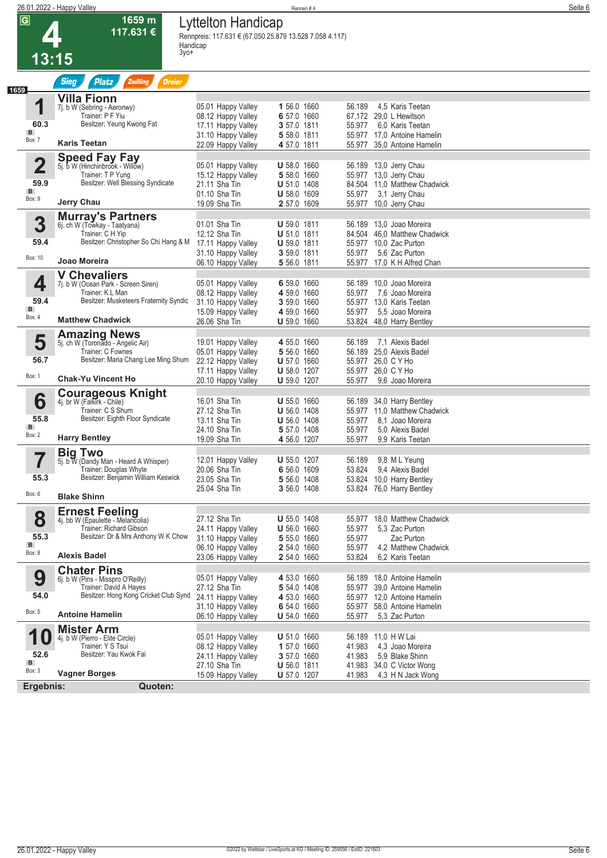|                         | 26.01.2022 - Happy Valley                                       |                                                         | Rennen#4                          |                                                              | Seite 6 |
|-------------------------|-----------------------------------------------------------------|---------------------------------------------------------|-----------------------------------|--------------------------------------------------------------|---------|
| $\overline{\mathbf{G}}$ | 1659 m                                                          | Lyttelton Handicap                                      |                                   |                                                              |         |
|                         | 117.631€                                                        | Rennpreis: 117.631 € (67.050 25.879 13.528 7.058 4.117) |                                   |                                                              |         |
|                         | $3y0+$                                                          | Handicap                                                |                                   |                                                              |         |
| 13:15                   |                                                                 |                                                         |                                   |                                                              |         |
|                         |                                                                 |                                                         |                                   |                                                              |         |
| 1659                    | <b>Sieg</b><br><b>Platz</b><br><b>Zwilling</b><br><b>Dreier</b> |                                                         |                                   |                                                              |         |
|                         | <b>Villa Fionn</b>                                              |                                                         |                                   |                                                              |         |
| 1                       | 7j. b W (Sebring - Aeronwy)                                     | 05.01 Happy Valley                                      | 1 56.0 1660                       | 56.189<br>4.5 Karis Teetan                                   |         |
| 60.3                    | Trainer: P F Yiu<br>Besitzer: Yeung Kwong Fat                   | 08.12 Happy Valley                                      | 6 57.0 1660                       | 67.172<br>29.0 L Hewitson                                    |         |
| B                       |                                                                 | 17.11 Happy Valley                                      | 3 57.0 1811<br>5 58.0 1811        | 6.0 Karis Teetan<br>55.977<br>55.977<br>17.0 Antoine Hamelin |         |
| Box: 7                  | <b>Karis Teetan</b>                                             | 31.10 Happy Valley<br>22.09 Happy Valley                | 4 57.0 1811                       | 55.977<br>35.0 Antoine Hamelin                               |         |
|                         |                                                                 |                                                         |                                   |                                                              |         |
| $\mathbf 2$             | <b>Speed Fay Fay</b><br>5j. b W (Hinchinbrook - Willow)         | 05.01 Happy Valley                                      | <b>U</b> 58.0 1660                | 56.189<br>13,0 Jerry Chau                                    |         |
|                         | Trainer: T P Yung                                               | 15.12 Happy Valley                                      | 5 58.0 1660                       | 13,0 Jerry Chau<br>55.977                                    |         |
| 59.9                    | Besitzer: Well Blessing Syndicate                               | 21.11 Sha Tin                                           | <b>U</b> 51.0 1408                | 84.504 11,0 Matthew Chadwick                                 |         |
| B                       |                                                                 | 01.10 Sha Tin                                           | <b>U</b> 58.0 1609                | 3,1 Jerry Chau<br>55.977                                     |         |
| Box: 9                  | Jerry Chau                                                      | 19.09 Sha Tin                                           | 2 57.0 1609                       | 55.977 10,0 Jerry Chau                                       |         |
|                         | <b>Murray's Partners</b>                                        |                                                         |                                   |                                                              |         |
| 3                       | 6j. ch W (Towkay - Taatyana)                                    | 01.01 Sha Tin                                           | <b>U</b> 59.0 1811                | 13,0 Joao Moreira<br>56.189                                  |         |
|                         | Trainer: C H Yip                                                | 12.12 Sha Tin                                           | <b>U</b> 51.0 1811                | 84.504<br>46,0 Matthew Chadwick                              |         |
| 59.4                    | Besitzer: Christopher So Chi Hang & M                           | 17.11 Happy Valley                                      | <b>U</b> 59.0 1811                | 55.977<br>10,0 Zac Purton                                    |         |
| Box: 10                 | Joao Moreira                                                    | 31.10 Happy Valley                                      | 3 59.0 1811                       | 55.977<br>5.6 Zac Purton                                     |         |
|                         |                                                                 | 06.10 Happy Valley                                      | 5 56.0 1811                       | 55.977 17,0 K H Alfred Chan                                  |         |
|                         | <b>V Chevaliers</b>                                             |                                                         | 6 59.0 1660                       | 56.189<br>10,0 Joao Moreira                                  |         |
| 4                       | 7j. b W (Ocean Park - Screen Siren)<br>Trainer: K L Man         | 05.01 Happy Valley<br>08.12 Happy Valley                | 4 59.0 1660                       | 55.977<br>7,6 Joao Moreira                                   |         |
| 59.4                    | Besitzer: Musketeers Fraternity Syndic                          | 31.10 Happy Valley                                      | 3 59.0 1660                       | 55.977 13.0 Karis Teetan                                     |         |
| B                       |                                                                 | 15.09 Happy Valley                                      | 4 59.0 1660                       | 55.977<br>5.5 Joao Moreira                                   |         |
| Box: 4                  | <b>Matthew Chadwick</b>                                         | 26.06 Sha Tin                                           | <b>U</b> 59.0 1660                | 53.824<br>48,0 Harry Bentley                                 |         |
|                         | <b>Amazing News</b>                                             |                                                         |                                   |                                                              |         |
| 5                       | 5j. ch W (Toronado - Angelic Air)                               | 19.01 Happy Valley                                      | 4 55.0 1660                       | 56.189<br>7.1 Alexis Badel                                   |         |
|                         | Trainer: C Fownes                                               | 05.01 Happy Valley                                      | 5 56.0 1660                       | 56.189<br>25,0 Alexis Badel                                  |         |
| 56.7                    | Besitzer: Maria Chang Lee Ming Shum                             | 22.12 Happy Valley                                      | <b>U</b> 57.0 1660                | 26.0 C Y Ho<br>55.977                                        |         |
| Box: 1                  |                                                                 | 17.11 Happy Valley                                      | <b>U</b> 58.0 1207                | 55.977<br>26.0 C Y Ho                                        |         |
|                         | <b>Chak-Yu Vincent Ho</b>                                       | 20.10 Happy Valley                                      | <b>U</b> 59.0 1207                | 55.977<br>9.6 Joao Moreira                                   |         |
|                         | <b>Courageous Knight</b>                                        |                                                         |                                   |                                                              |         |
| 6                       | 4j. br W (Falkirk - Chile)                                      | 16.01 Sha Tin                                           | <b>U</b> 55.0 1660                | 56.189<br>34,0 Harry Bentley                                 |         |
| 55.8                    | Trainer: C S Shum<br>Besitzer: Eighth Floor Syndicate           | 27.12 Sha Tin                                           | <b>U</b> 56.0 1408                | 55.977<br>11,0 Matthew Chadwick                              |         |
|                         |                                                                 | 13.11 Sha Tin<br>24.10 Sha Tin                          | <b>U</b> 56.0 1408<br>5 57.0 1408 | 55.977<br>8.1 Joao Moreira<br>55.977<br>5.0 Alexis Badel     |         |
| B                       |                                                                 |                                                         |                                   |                                                              |         |

|           | <b>Big Two</b>                        |                    |                    |                                 |
|-----------|---------------------------------------|--------------------|--------------------|---------------------------------|
|           | 5j. b W (Dandy Man - Heard A Whisper) | 12.01 Happy Valley | <b>U</b> 55.0 1207 | 9,8 ML Yeung<br>56.189          |
|           | Trainer: Douglas Whyte                | 20.06 Sha Tin      | 6 56.0 1609        | 53.824<br>9,4 Alexis Badel      |
| 55.3      | Besitzer: Benjamin William Keswick    | 23.05 Sha Tin      | 5 56.0 1408        | 53.824<br>10,0 Harry Bentley    |
|           |                                       | 25.04 Sha Tin      | 3 56.0 1408        | 53.824<br>76,0 Harry Bentley    |
| Box: 6    | <b>Blake Shinn</b>                    |                    |                    |                                 |
|           | <b>Ernest Feeling</b>                 |                    |                    |                                 |
| 8         | 4j. bb W (Epaulette - Melancolia)     | 27.12 Sha Tin      | <b>U</b> 55.0 1408 | 18.0 Matthew Chadwick<br>55.977 |
|           | Trainer: Richard Gibson               | 24.11 Happy Valley | <b>U</b> 56.0 1660 | 55.977<br>5,3 Zac Purton        |
| 55.3      | Besitzer: Dr & Mrs Anthony W K Chow   | 31.10 Happy Valley | 5 55.0 1660        | 55.977<br>Zac Purton            |
| B         |                                       | 06.10 Happy Valley | 2 54.0 1660        | 55.977<br>4.2 Matthew Chadwick  |
| Box: 8    | <b>Alexis Badel</b>                   | 23.06 Happy Valley | 2 54.0 1660        | 53.824<br>6.2 Karis Teetan      |
|           | <b>Chater Pins</b>                    |                    |                    |                                 |
| 9         | 6j. b W (Pins - Misspro O'Reilly)     | 05.01 Happy Valley | 4 53.0 1660        | 18,0 Antoine Hamelin<br>56.189  |
|           | Trainer: David A Hayes                | 27.12 Sha Tin      | 5 54.0 1408        | 55.977<br>39.0 Antoine Hamelin  |
| 54.0      | Besitzer: Hong Kong Cricket Club Synd | 24.11 Happy Valley | 4 53.0 1660        | 55.977<br>12,0 Antoine Hamelin  |
|           |                                       | 31.10 Happy Valley | 6 54.0 1660        | 58,0 Antoine Hamelin<br>55.977  |
| Box: 5    | <b>Antoine Hamelin</b>                | 06.10 Happy Valley | <b>U</b> 54.0 1660 | 5.3 Zac Purton<br>55.977        |
|           | <b>Mister Arm</b>                     |                    |                    |                                 |
|           | 4j. b W (Pierro - Elite Circle)       | 05.01 Happy Valley | <b>U</b> 51.0 1660 | 11.0 H W Lai<br>56.189          |
|           | Trainer: Y S Tsui                     | 08.12 Happy Valley | 1 57.0 1660        | 41.983<br>4,3 Joao Moreira      |
| 52.6      | Besitzer: Yau Kwok Fai                | 24.11 Happy Valley | 3 57.0 1660        | 41.983<br>5.9 Blake Shinn       |
| B         |                                       | 27.10 Sha Tin      | <b>U</b> 56.0 1811 | 41.983<br>34,0 C Victor Wong    |
| Box: 3    | <b>Vagner Borges</b>                  | 15.09 Happy Valley | <b>U</b> 57.0 1207 | 4,3 H N Jack Wong<br>41.983     |
| Ergebnis: | Quoten:                               |                    |                    |                                 |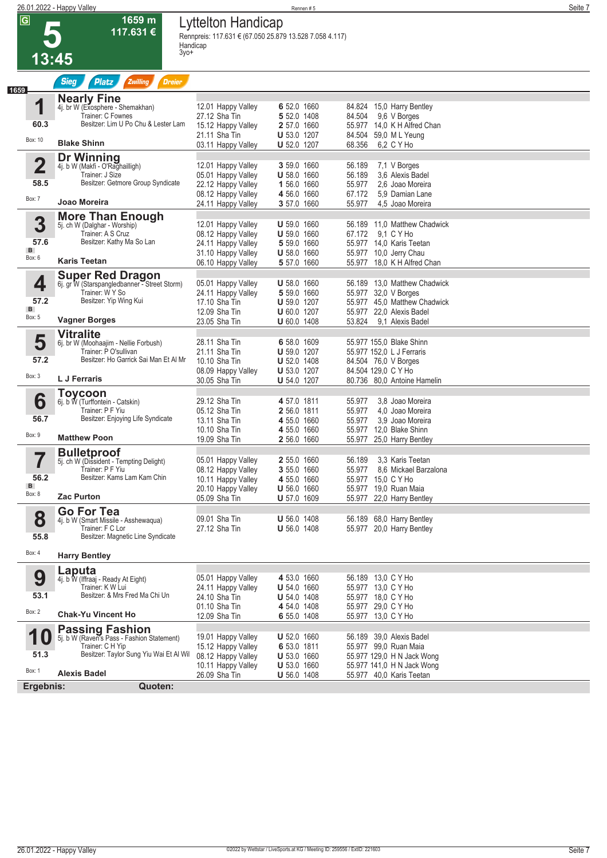# **5**

**1659 m 117.631 €** **Lyttelton Handicap**

**Rennpreis: 117.631 € (67.050 25.879 13.528 7.058 4.117) Handicap 3yo+** 

|                                                      | 3yo+<br>13:45                                                                                                                       |                                                                                                            |                                                                                              |                                                                                                                                                   |  |
|------------------------------------------------------|-------------------------------------------------------------------------------------------------------------------------------------|------------------------------------------------------------------------------------------------------------|----------------------------------------------------------------------------------------------|---------------------------------------------------------------------------------------------------------------------------------------------------|--|
|                                                      | <b>Sieg</b><br>Zwilling<br><b>Platz</b><br><b>Dreier</b>                                                                            |                                                                                                            |                                                                                              |                                                                                                                                                   |  |
| 1659<br>1                                            | <b>Nearly Fine</b><br>4j. br W (Exosphere - Shemakhan)<br>Trainer: C Fownes                                                         | 12.01 Happy Valley<br>27.12 Sha Tin                                                                        | 6 52.0 1660<br>5 52.0 1408                                                                   | 84.824 15,0 Harry Bentley<br>84.504<br>9,6 V Borges                                                                                               |  |
| 60.3<br>Box: 10                                      | Besitzer: Lim U Po Chu & Lester Lam                                                                                                 | 15.12 Happy Valley<br>21.11 Sha Tin                                                                        | 2 57.0 1660<br><b>U</b> 53.0 1207                                                            | 55.977 14.0 K H Alfred Chan<br>84.504 59,0 ML Yeung                                                                                               |  |
|                                                      | <b>Blake Shinn</b>                                                                                                                  | 03.11 Happy Valley                                                                                         | <b>U</b> 52.0 1207                                                                           | 68.356<br>6.2 C Y Ho                                                                                                                              |  |
| $\overline{\mathbf{2}}$<br>58.5                      | <b>Dr Winning</b><br>4j. b W (Makfi - O'Raghailligh)<br>Trainer: J Size<br>Besitzer: Getmore Group Syndicate                        | 12.01 Happy Valley<br>05.01 Happy Valley<br>22.12 Happy Valley<br>08.12 Happy Valley                       | 3 59.0 1660<br><b>U</b> 58.0 1660<br>1 56.0 1660<br>4 56.0 1660                              | 56.189<br>7,1 V Borges<br>56.189<br>3.6 Alexis Badel<br>55.977<br>2,6 Joao Moreira<br>67.172<br>5.9 Damian Lane                                   |  |
| Box: 7                                               | Joao Moreira                                                                                                                        | 24.11 Happy Valley                                                                                         | 3 57.0 1660                                                                                  | 55.977<br>4,5 Joao Moreira                                                                                                                        |  |
| 3<br>57.6<br>B<br>Box: 6                             | <b>More Than Enough</b><br>5j. ch W (Dalghar - Worship)<br>Trainer: A S Cruz<br>Besitzer: Kathy Ma So Lan<br><b>Karis Teetan</b>    | 12.01 Happy Valley<br>08.12 Happy Valley<br>24.11 Happy Valley<br>31.10 Happy Valley<br>06.10 Happy Valley | <b>U</b> 59.0 1660<br><b>U</b> 59.0 1660<br>5 59.0 1660<br><b>U</b> 58.0 1660<br>5 57.0 1660 | 56.189 11,0 Matthew Chadwick<br>67.172<br>9.1 C Y Ho<br>55.977 14,0 Karis Teetan<br>55.977 10,0 Jerry Chau<br>18.0 K H Alfred Chan<br>55.977      |  |
|                                                      | <b>Super Red Dragon</b>                                                                                                             |                                                                                                            |                                                                                              |                                                                                                                                                   |  |
| 4<br>57.2<br>B<br>Box: 5                             | 6j. gr W (Starspangledbanner - Street Storm)<br>Trainer: W Y So<br>Besitzer: Yip Wing Kui<br><b>Vagner Borges</b>                   | 05.01 Happy Valley<br>24.11 Happy Valley<br>17.10 Sha Tin<br>12.09 Sha Tin<br>23.05 Sha Tin                | <b>U</b> 58.0 1660<br>5 59.0 1660<br><b>U</b> 59.0 1207<br>U 60.0 1207<br>$U$ 60.0 1408      | 13.0 Matthew Chadwick<br>56.189<br>55.977 32,0 V Borges<br>55.977 45,0 Matthew Chadwick<br>55.977 22,0 Alexis Badel<br>53.824<br>9.1 Alexis Badel |  |
|                                                      | <b>Vitralite</b>                                                                                                                    |                                                                                                            |                                                                                              |                                                                                                                                                   |  |
| 5<br>57.2                                            | 6j. br W (Moohaajim - Nellie Forbush)<br>Trainer: P O'sullivan<br>Besitzer: Ho Garrick Sai Man Et Al Mr                             | 28.11 Sha Tin<br>21.11 Sha Tin<br>10.10 Sha Tin<br>08.09 Happy Valley                                      | 6 58.0 1609<br><b>U</b> 59.0 1207<br><b>U</b> 52.0 1408<br><b>U</b> 53.0 1207                | 55.977 155,0 Blake Shinn<br>55.977 152,0 L J Ferraris<br>84.504 76,0 V Borges<br>84.504 129,0 C Y Ho                                              |  |
| Box: 3                                               | L J Ferraris                                                                                                                        | 30.05 Sha Tin                                                                                              | <b>U</b> 54.0 1207                                                                           | 80.736 80.0 Antoine Hamelin                                                                                                                       |  |
| 6<br>56.7<br>Box: 9                                  | <b>Toycoon</b><br>6j. b W (Turffontein - Catskin)<br>Trainer: P F Yiu<br>Besitzer: Enjoying Life Syndicate<br><b>Matthew Poon</b>   | 29.12 Sha Tin<br>05.12 Sha Tin<br>13.11 Sha Tin<br>10.10 Sha Tin<br>19.09 Sha Tin                          | 4 57.0 1811<br>2 56.0 1811<br>4 55.0 1660<br>4 55.0 1660<br>2 56.0 1660                      | 55.977<br>3.8 Joao Moreira<br>55.977<br>4.0 Joao Moreira<br>55.977<br>3,9 Joao Moreira<br>55.977 12,0 Blake Shinn<br>55.977<br>25,0 Harry Bentley |  |
|                                                      | <b>Bulletproof</b>                                                                                                                  |                                                                                                            |                                                                                              |                                                                                                                                                   |  |
| $\overline{\phantom{a}}$<br>I<br>56.2<br>B<br>Box: 8 | 5j. ch W (Dissident - Tempting Delight)<br>Trainer: P F Yiu<br>Besitzer: Kams Lam Kam Chin<br><b>Zac Purton</b>                     | 05.01 Happy Valley<br>08.12 Happy Valley<br>10.11 Happy Valley<br>20.10 Happy Valley<br>05.09 Sha Tin      | 2 55.0 1660<br>3 55.0 1660<br>4 55.0 1660<br><b>U</b> 56.0 1660<br>U 57.0 1609               | 56.189<br>3.3 Karis Teetan<br>55.977<br>8.6 Mickael Barzalona<br>55.977 15,0 C Y Ho<br>55.977<br>19.0 Ruan Maia<br>55.977 22,0 Harry Bentley      |  |
| 8<br>55.8                                            | <b>Go For Tea</b><br>4j. b W (Smart Missile - Asshewaqua)<br>Trainer: F C Lor<br>Besitzer: Magnetic Line Syndicate                  | 09.01 Sha Tin<br>27.12 Sha Tin                                                                             | <b>U</b> 56.0 1408<br><b>U</b> 56.0 1408                                                     | 56.189 68,0 Harry Bentley<br>55.977 20,0 Harry Bentley                                                                                            |  |
| Box: 4                                               | <b>Harry Bentley</b>                                                                                                                |                                                                                                            |                                                                                              |                                                                                                                                                   |  |
| 9<br>53.1<br>Box: 2                                  | Laputa<br>4j. b W (Iffraaj - Ready At Eight)<br>Trainer: K W Lui<br>Besitzer: & Mrs Fred Ma Chi Un<br><b>Chak-Yu Vincent Ho</b>     | 05.01 Happy Valley<br>24.11 Happy Valley<br>24.10 Sha Tin<br>01.10 Sha Tin<br>12.09 Sha Tin                | 4 53.0 1660<br><b>U</b> 54.0 1660<br>$U 54.0 1408$<br>4 54.0 1408<br>6 55.0 1408             | 56.189 13,0 C Y Ho<br>55.977 13,0 C Y Ho<br>55.977 18,0 C Y Ho<br>55.977 29,0 C Y Ho<br>55.977 13,0 C Y Ho                                        |  |
| <b>10</b><br>51.3<br>Box: 1                          | <b>Passing Fashion</b><br>5j. b W (Raven's Pass - Fashion Statement)<br>Trainer: C H Yip<br>Besitzer: Taylor Sung Yiu Wai Et Al Wil | 19.01 Happy Valley<br>15.12 Happy Valley<br>08.12 Happy Valley<br>10.11 Happy Valley                       | U 52.0 1660<br>6 53.0 1811<br>U 53.0 1660<br>U 53.0 1660                                     | 56.189 39,0 Alexis Badel<br>55.977 99,0 Ruan Maia<br>55.977 129,0 H N Jack Wong<br>55.977 141,0 H N Jack Wong                                     |  |
|                                                      | <b>Alexis Badel</b>                                                                                                                 | 26.09 Sha Tin                                                                                              | <b>U</b> 56.0 1408                                                                           | 55.977 40,0 Karis Teetan                                                                                                                          |  |
| Ergebnis:                                            | Quoten:                                                                                                                             |                                                                                                            |                                                                                              |                                                                                                                                                   |  |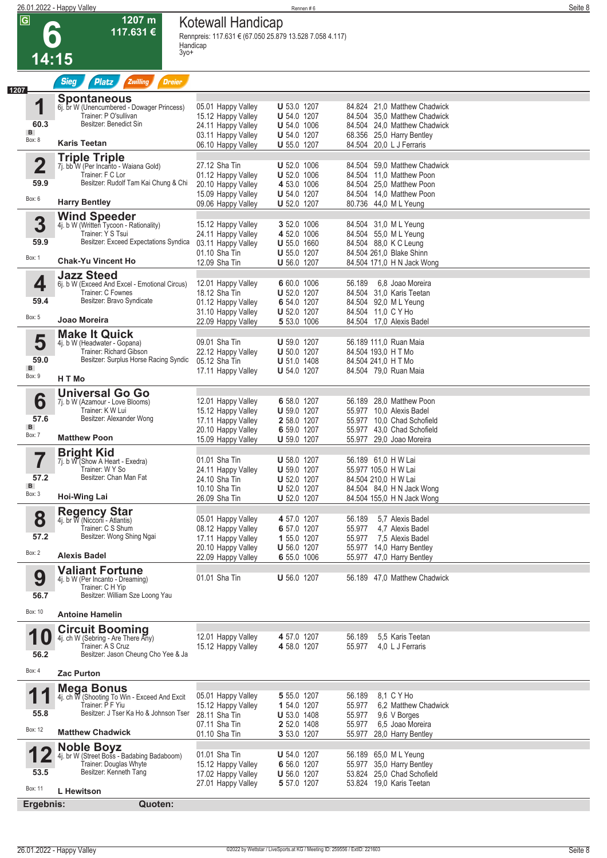|                                                      | 26.01.2022 - Happy Valley                                                                                                                  |                                                                                                            | Rennen#6                                                                                                   |                                                                                                                                                       | Seite 8 |
|------------------------------------------------------|--------------------------------------------------------------------------------------------------------------------------------------------|------------------------------------------------------------------------------------------------------------|------------------------------------------------------------------------------------------------------------|-------------------------------------------------------------------------------------------------------------------------------------------------------|---------|
| $\overline{\mathbf{G}}$                              | 1207 m<br>117.631 €<br>$3y0+$<br>14:15                                                                                                     | Kotewall Handicap<br>Rennpreis: 117.631 € (67.050 25.879 13.528 7.058 4.117)<br>Handicap                   |                                                                                                            |                                                                                                                                                       |         |
|                                                      |                                                                                                                                            |                                                                                                            |                                                                                                            |                                                                                                                                                       |         |
| 1207                                                 | <b>Sieg</b><br>Zwilling<br><b>Dreier</b><br><b>Platz</b>                                                                                   |                                                                                                            |                                                                                                            |                                                                                                                                                       |         |
| 1<br>60.3<br>B<br>Box: 8                             | <b>Spontaneous</b><br>6j. br W (Unencumbered - Dowager Princess)<br>Trainer: P O'sullivan<br>Besitzer: Benedict Sin<br><b>Karis Teetan</b> | 05.01 Happy Valley<br>15.12 Happy Valley<br>24.11 Happy Valley<br>03.11 Happy Valley<br>06.10 Happy Valley | <b>U</b> 53.0 1207<br><b>U</b> 54.0 1207<br><b>U</b> 54.0 1006<br><b>U</b> 54.0 1207<br><b>U</b> 55.0 1207 | 84.824 21,0 Matthew Chadwick<br>84.504 35.0 Matthew Chadwick<br>84.504 24.0 Matthew Chadwick<br>68.356 25,0 Harry Bentley<br>84.504 20,0 L J Ferraris |         |
| $\overline{\mathbf{2}}$<br>59.9                      | <b>Triple Triple</b><br>7j. bb W (Per Incanto - Waiana Gold)<br>Trainer: F C Lor<br>Besitzer: Rudolf Tam Kai Chung & Chi                   | 27.12 Sha Tin<br>01.12 Happy Valley<br>20.10 Happy Valley                                                  | <b>U</b> 52.0 1006<br><b>U</b> 52.0 1006<br>4 53.0 1006                                                    | 84.504 59.0 Matthew Chadwick<br>84.504 11,0 Matthew Poon<br>84.504 25,0 Matthew Poon                                                                  |         |
| Box: 6                                               | <b>Harry Bentley</b>                                                                                                                       | 15.09 Happy Valley<br>09.06 Happy Valley                                                                   | <b>U</b> 54.0 1207<br><b>U</b> 52.0 1207                                                                   | 84.504 14,0 Matthew Poon<br>80.736 44,0 ML Yeung                                                                                                      |         |
| 3                                                    | <b>Wind Speeder</b>                                                                                                                        | 15.12 Happy Valley                                                                                         | 3 52.0 1006                                                                                                | 84.504 31,0 ML Yeung                                                                                                                                  |         |
| 59.9<br>Box: 1                                       | 4j. b W (Written Tycoon - Rationality)<br>Trainer: Y S Tsui<br>Besitzer: Exceed Expectations Syndica<br><b>Chak-Yu Vincent Ho</b>          | 24.11 Happy Valley<br>03.11 Happy Valley<br>01.10 Sha Tin<br>12.09 Sha Tin                                 | 4 52.0 1006<br><b>U</b> 55.0 1660<br><b>U</b> 55.0 1207<br><b>U</b> 56.0 1207                              | 84.504 55,0 ML Yeung<br>84.504 88,0 K C Leung<br>84.504 261,0 Blake Shinn<br>84.504 171,0 H N Jack Wong                                               |         |
|                                                      | <b>Jazz Steed</b>                                                                                                                          |                                                                                                            |                                                                                                            |                                                                                                                                                       |         |
| 4<br>59.4<br>Box: 5                                  | 6j. b W (Exceed And Excel - Emotional Circus)<br>Trainer: C Fownes<br>Besitzer: Bravo Syndicate<br>Joao Moreira                            | 12.01 Happy Valley<br>18.12 Sha Tin<br>01.12 Happy Valley<br>31.10 Happy Valley<br>22.09 Happy Valley      | 6 60.0 1006<br><b>U</b> 52.0 1207<br>6 54.0 1207<br><b>U</b> 52.0 1207<br>5 53.0 1006                      | 56.189<br>6.8 Joao Moreira<br>84.504 31,0 Karis Teetan<br>84.504 92,0 ML Yeung<br>84.504 11,0 C Y Ho<br>84.504 17,0 Alexis Badel                      |         |
| 5                                                    | <b>Make It Quick</b>                                                                                                                       | 09.01 Sha Tin                                                                                              | <b>U</b> 59.0 1207                                                                                         | 56.189 111,0 Ruan Maia                                                                                                                                |         |
| 59.0<br>B<br>Box: 9                                  | 4j. b W (Headwater - Gopana)<br>Trainer: Richard Gibson<br>Besitzer: Surplus Horse Racing Syndic                                           | 22.12 Happy Valley<br>05.12 Sha Tin<br>17.11 Happy Valley                                                  | <b>U</b> 50.0 1207<br><b>U</b> 51.0 1408<br><b>U</b> 54.0 1207                                             | 84.504 193,0 H T Mo<br>84.504 241,0 H T Mo<br>84.504 79,0 Ruan Maia                                                                                   |         |
|                                                      | H T Mo                                                                                                                                     |                                                                                                            |                                                                                                            |                                                                                                                                                       |         |
| 6<br>57.6<br>B                                       | <b>Universal Go Go</b><br>7j. b W (Azamour - Love Blooms)<br>Trainer: K W Lui<br>Besitzer: Alexander Wong                                  | 12.01 Happy Valley<br>15.12 Happy Valley<br>17.11 Happy Valley                                             | 6 58.0 1207<br>U 59.0 1207<br>2 58.0 1207                                                                  | 56.189 28.0 Matthew Poon<br>55.977 10,0 Alexis Badel<br>55.977 10.0 Chad Schofield                                                                    |         |
| Box: 7                                               | <b>Matthew Poon</b>                                                                                                                        | 20.10 Happy Valley<br>15.09 Happy Valley                                                                   | 6 59.0 1207<br><b>U</b> 59.0 1207                                                                          | 55.977 43,0 Chad Schofield<br>55.977 29,0 Joao Moreira                                                                                                |         |
| $\rightarrow$<br>ſ<br>57.2<br>$\mathbf{B}$<br>Box: 3 | <b>Bright Kid</b><br>7j. b W (Show A Heart - Exedra)<br>Trainer: W Y So<br>Besitzer: Chan Man Fat<br>Hoi-Wing Lai                          | 01.01 Sha Tin<br>24.11 Happy Valley<br>24.10 Sha Tin<br>10.10 Sha Tin<br>26.09 Sha Tin                     | <b>U</b> 58.0 1207<br>$U 59.0 1207$<br><b>U</b> 52.0 1207<br><b>U</b> 52.0 1207<br><b>U</b> 52.0 1207      | 56.189 61,0 H W Lai<br>55.977 105,0 H W Lai<br>84.504 210,0 H W Lai<br>84.504 84,0 H N Jack Wong<br>84.504 155,0 H N Jack Wong                        |         |
| 8<br>57.2                                            | <b>Regency Star</b><br>4j. br W (Nicconi̇̃ - Atlantis)<br>Trainer: C S Shum<br>Besitzer: Wong Shing Ngai                                   | 05.01 Happy Valley<br>08.12 Happy Valley<br>17.11 Happy Valley                                             | 4 57.0 1207<br>6 57.0 1207<br>1 55.0 1207<br><b>U</b> 56.0 1207                                            | 5.7 Alexis Badel<br>56.189<br>55.977<br>4.7 Alexis Badel<br>7,5 Alexis Badel<br>55.977<br>55.977 14,0 Harry Bentley                                   |         |
| Box: 2                                               | Alexis Badel                                                                                                                               | 20.10 Happy Valley<br>22.09 Happy Valley                                                                   | 6 55.0 1006                                                                                                | 55.977 47,0 Harry Bentley                                                                                                                             |         |
| 9<br>56.7                                            | <b>Valiant Fortune</b><br>4j. b W (Per Incanto - Dreaming)<br>Trainer: C H Yip<br>Besitzer: William Sze Loong Yau                          | 01.01 Sha Tin                                                                                              | <b>U</b> 56.0 1207                                                                                         | 56.189 47,0 Matthew Chadwick                                                                                                                          |         |
| Box: 10                                              | <b>Antoine Hamelin</b>                                                                                                                     |                                                                                                            |                                                                                                            |                                                                                                                                                       |         |
| 10<br>56.2                                           | <b>Circuit Booming</b><br>4j. ch W (Sebring - Are There Any)<br>Trainer: A S Cruz<br>Besitzer: Jason Cheung Cho Yee & Ja                   | 12.01 Happy Valley<br>15.12 Happy Valley                                                                   | 4 57.0 1207<br>4 58.0 1207                                                                                 | 5.5 Karis Teetan<br>56.189<br>55.977<br>4.0 L J Ferraris                                                                                              |         |
| Box: 4                                               | <b>Zac Purton</b>                                                                                                                          |                                                                                                            |                                                                                                            |                                                                                                                                                       |         |
| 11<br>55.8                                           | Mega Bonus<br>4j. ch W (Shooting To Win - Exceed And Excit<br>Trainer: P F Yiu<br>Besitzer: J Tser Ka Ho & Johnson Tser                    | 05.01 Happy Valley<br>15.12 Happy Valley<br>28.11 Sha Tin                                                  | 5 55.0 1207<br>1 54.0 1207<br><b>U</b> 53.0 1408                                                           | 8,1 C Y Ho<br>56.189<br>6,2 Matthew Chadwick<br>55.977<br>55.977<br>9,6 V Borges                                                                      |         |
| Box: 12                                              | <b>Matthew Chadwick</b>                                                                                                                    | 07.11 Sha Tin<br>01.10 Sha Tin                                                                             | 2 52.0 1408<br>3 53.0 1207                                                                                 | 55.977<br>6.5 Joao Moreira<br>28,0 Harry Bentley<br>55.977                                                                                            |         |
| ▮◢<br>53.5<br>Box: 11                                | <b>Noble Boyz</b><br>4j. br W (Street Boss - Badabing Badaboom)<br>Trainer: Douglas Whyte<br>Besitzer: Kenneth Tang<br>L Hewitson          | 01.01 Sha Tin<br>15.12 Happy Valley<br>17.02 Happy Valley<br>27.01 Happy Valley                            | <b>U</b> 54.0 1207<br>6 56.0 1207<br><b>U</b> 56.0 1207<br>5 57.0 1207                                     | 56.189 65,0 ML Yeung<br>55.977 35,0 Harry Bentley<br>53.824 25,0 Chad Schofield<br>53.824 19,0 Karis Teetan                                           |         |
| Ergebnis:                                            | Quoten:                                                                                                                                    |                                                                                                            |                                                                                                            |                                                                                                                                                       |         |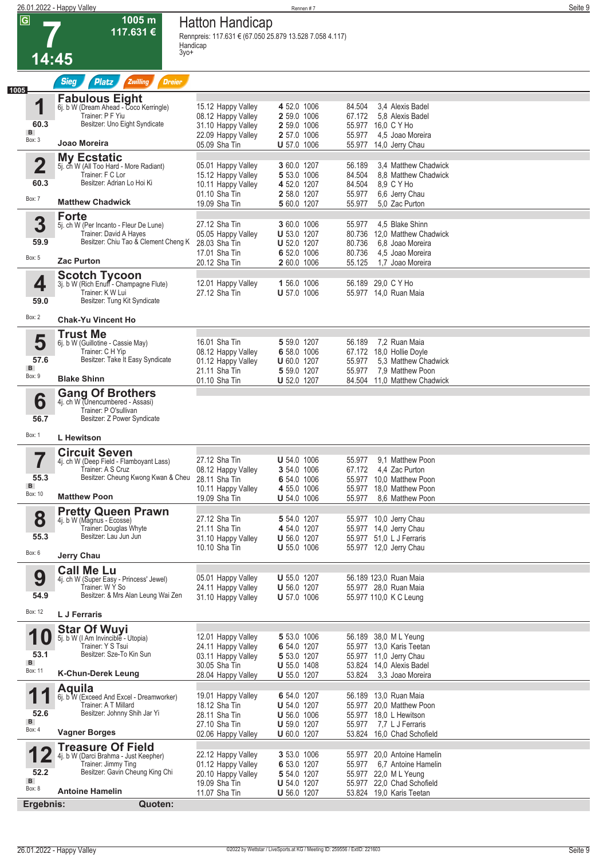|                         | 26.01.2022 - Happy Valley                                         |                                                                                               | Rennen #7                                |                                                            | Seite 9 |
|-------------------------|-------------------------------------------------------------------|-----------------------------------------------------------------------------------------------|------------------------------------------|------------------------------------------------------------|---------|
| $\overline{\mathsf{G}}$ | 1005 m<br>117.631 €<br>3yo+                                       | <b>Hatton Handicap</b><br>Rennpreis: 117.631 € (67.050 25.879 13.528 7.058 4.117)<br>Handicap |                                          |                                                            |         |
| 14:45                   |                                                                   |                                                                                               |                                          |                                                            |         |
|                         | <b>Sieg</b><br><b>Platz</b><br>Zwilling<br><b>Dreier</b>          |                                                                                               |                                          |                                                            |         |
| 1005                    | <b>Fabulous Eight</b>                                             |                                                                                               |                                          |                                                            |         |
| 4                       | 6j. b W (Dream Ahead - Coco Kerringle)<br>Trainer: P F Yiu        | 15.12 Happy Valley<br>08.12 Happy Valley                                                      | 4 52.0 1006<br>2 59.0 1006               | 3.4 Alexis Badel<br>84.504<br>67.172<br>5.8 Alexis Badel   |         |
| 60.3<br>B               | Besitzer: Uno Eight Syndicate                                     | 31.10 Happy Valley                                                                            | 2 59.0 1006                              | 55.977 16,0 C Y Ho                                         |         |
| Box: 3                  | Joao Moreira                                                      | 22.09 Happy Valley<br>05.09 Sha Tin                                                           | 2 57.0 1006<br><b>U</b> 57.0 1006        | 55.977<br>4,5 Joao Moreira<br>55.977 14,0 Jerry Chau       |         |
| $\overline{\mathbf{2}}$ | <b>My Ecstatic</b>                                                | 05.01 Happy Valley                                                                            | 3 60.0 1207                              | 56.189<br>3.4 Matthew Chadwick                             |         |
|                         | 5j. ch W (All Too Hard - More Radiant)<br>Trainer: F C Lor        | 15.12 Happy Valley                                                                            | 5 53.0 1006                              | 84.504<br>8.8 Matthew Chadwick                             |         |
| 60.3                    | Besitzer: Adrian Lo Hoi Ki                                        | 10.11 Happy Valley<br>01.10 Sha Tin                                                           | 4 52.0 1207<br>2 58.0 1207               | 84.504<br>8,9 C Y Ho<br>55.977<br>6,6 Jerry Chau           |         |
| Box: 7                  | <b>Matthew Chadwick</b>                                           | 19.09 Sha Tin                                                                                 | 5 60.0 1207                              | 55.977<br>5.0 Zac Purton                                   |         |
| 3                       | <b>Forte</b><br>5j. ch W (Per Incanto - Fleur De Lune)            | 27.12 Sha Tin                                                                                 | 3 60.0 1006                              | 4,5 Blake Shinn<br>55.977                                  |         |
| 59.9                    | Trainer: David A Hayes<br>Besitzer: Chiu Tao & Clement Cheng K    | 05.05 Happy Valley                                                                            | <b>U</b> 53.0 1207                       | 80.736 12,0 Matthew Chadwick                               |         |
|                         |                                                                   | 28.03 Sha Tin<br>17.01 Sha Tin                                                                | <b>U</b> 52.0 1207<br>6 52.0 1006        | 80.736<br>6.8 Joao Moreira<br>80.736<br>4.5 Joao Moreira   |         |
| Box: 5                  | <b>Zac Purton</b>                                                 | 20.12 Sha Tin                                                                                 | 2 60.0 1006                              | 55.125<br>1,7 Joao Moreira                                 |         |
| 4                       | <b>Scotch Tycoon</b><br>3j. b W (Rich Enuff - Champagne Flute)    | 12.01 Happy Valley                                                                            | 1 56.0 1006                              | 56.189 29,0 C Y Ho                                         |         |
| 59.0                    | Trainer: K W Lui<br>Besitzer: Tung Kit Syndicate                  | 27.12 Sha Tin                                                                                 | <b>U</b> 57.0 1006                       | 55.977 14,0 Ruan Maia                                      |         |
| Box: 2                  | <b>Chak-Yu Vincent Ho</b>                                         |                                                                                               |                                          |                                                            |         |
|                         | <b>Trust Me</b>                                                   |                                                                                               |                                          |                                                            |         |
| 5                       | 6j. b W (Guillotine - Cassie May)<br>Trainer: C H Yip             | 16.01 Sha Tin                                                                                 | 5 59.0 1207<br>6 58.0 1006               | 7,2 Ruan Maia<br>56.189<br>67.172 18,0 Hollie Doyle        |         |
| 57.6                    | Besitzer: Take It Easy Syndicate                                  | 08.12 Happy Valley<br>01.12 Happy Valley                                                      | <b>U</b> 60.0 1207                       | 5.3 Matthew Chadwick<br>55.977                             |         |
| B<br>Box: 9             | <b>Blake Shinn</b>                                                | 21.11 Sha Tin<br>01.10 Sha Tin                                                                | 5 59.0 1207<br>U 52.0 1207               | 55.977<br>7,9 Matthew Poon<br>84.504 11,0 Matthew Chadwick |         |
|                         | <b>Gang Of Brothers</b>                                           |                                                                                               |                                          |                                                            |         |
| 6                       | 4j. ch W <i>(Unencumbered - Assasi)</i><br>Trainer: P O'sullivan  |                                                                                               |                                          |                                                            |         |
| 56.7                    | Besitzer: Z Power Syndicate                                       |                                                                                               |                                          |                                                            |         |
| Box: 1                  | <b>L</b> Hewitson                                                 |                                                                                               |                                          |                                                            |         |
| 7                       | <b>Circuit Seven</b><br>4j. ch W (Deep Field - Flamboyant Lass)   | 27.12 Sha Tin                                                                                 | <b>U</b> 54.0 1006                       | 55.977<br>9,1 Matthew Poon                                 |         |
| 55.3                    | Trainer: A S Cruz                                                 | 08.12 Happy Valley                                                                            | 3 54.0 1006                              | 67.172  4.4 Zac Purton                                     |         |
| $\mathbf{B}$            | Besitzer: Cheung Kwong Kwan & Cheu 28.11 Sha Tin                  | 10.11 Happy Valley                                                                            | 6 54.0 1006<br>4 55.0 1006               | 55.977 10,0 Matthew Poon<br>55.977 18,0 Matthew Poon       |         |
| Box: 10                 | <b>Matthew Poon</b>                                               | 19.09 Sha Tin                                                                                 | <b>U</b> 54.0 1006                       | 8.6 Matthew Poon<br>55.977                                 |         |
| 8                       | <b>Pretty Queen Prawn</b><br>4j. b W (Magnus - Ecosse)            | 27.12 Sha Tin                                                                                 | 5 54.0 1207                              | 55.977 10,0 Jerry Chau                                     |         |
| 55.3                    | Trainer: Douglas Whyte<br>Besitzer: Lau Jun Jun                   | 21.11 Sha Tin<br>31.10 Happy Valley                                                           | 4 54.0 1207<br><b>U</b> 56.0 1207        | 55.977 14,0 Jerry Chau<br>55.977 51,0 L J Ferraris         |         |
| Box: 6                  |                                                                   | 10.10 Sha Tin                                                                                 | $U 55.0 1006$                            | 55.977 12,0 Jerry Chau                                     |         |
|                         | Jerry Chau<br><b>Call Me Lu</b>                                   |                                                                                               |                                          |                                                            |         |
| 9                       | 4j. ch W (Super Easy - Princess' Jewel)                           | 05.01 Happy Valley                                                                            | <b>U</b> 55.0 1207                       | 56.189 123,0 Ruan Maia                                     |         |
| 54.9                    | Trainer: W Y So<br>Besitzer: & Mrs Alan Leung Wai Zen             | 24.11 Happy Valley<br>31.10 Happy Valley                                                      | U 56.0 1207<br>$U 57.0 1006$             | 55.977 28,0 Ruan Maia<br>55.977 110,0 K C Leung            |         |
| Box: 12                 | L J Ferraris                                                      |                                                                                               |                                          |                                                            |         |
|                         | <b>Star Of Wuyi</b>                                               |                                                                                               |                                          |                                                            |         |
| <b>10</b>               | 5j. b W (I Am Invincible - Utopia)<br>Trainer: Y S Tsui           | 12.01 Happy Valley<br>24.11 Happy Valley                                                      | 5 53.0 1006<br>6 54.0 1207               | 56.189 38,0 ML Yeung<br>55.977 13,0 Karis Teetan           |         |
| 53.1<br>B               | Besitzer: Sze-To Kin Sun                                          | 03.11 Happy Valley                                                                            | 5 53.0 1207                              | 55.977 11,0 Jerry Chau                                     |         |
| Box: 11                 | <b>K-Chun-Derek Leung</b>                                         | 30.05 Sha Tin<br>28.04 Happy Valley                                                           | <b>U</b> 55.0 1408<br><b>U</b> 55.0 1207 | 53.824 14,0 Alexis Badel<br>53.824<br>3,3 Joao Moreira     |         |
|                         | <b>Aquila</b>                                                     |                                                                                               |                                          |                                                            |         |
|                         | 6j. b W (Exceed And Excel - Dreamworker)<br>Trainer: A T Millard  | 19.01 Happy Valley<br>18.12 Sha Tin                                                           | 6 54.0 1207<br><b>U</b> 54.0 1207        | 56.189 13,0 Ruan Maia<br>55.977 20,0 Matthew Poon          |         |
| 52.6<br>$\mathbf{B}$    | Besitzer: Johnny Shih Jar Yi                                      | 28.11 Sha Tin<br>27.10 Sha Tin                                                                | $U 56.0 1006$<br><b>U</b> 59.0 1207      | 55.977 18,0 L Hewitson<br>55.977 7.7 L J Ferraris          |         |
| Box: 4                  | <b>Vagner Borges</b>                                              | 02.06 Happy Valley                                                                            | <b>U</b> 60.0 1207                       | 53.824 16,0 Chad Schofield                                 |         |
|                         | <b>Treasure Of Field</b><br>4j. b W (Darci Brahma - Just Keepher) | 22.12 Happy Valley                                                                            | 3 53.0 1006                              | 55.977 20,0 Antoine Hamelin                                |         |
|                         | Trainer: Jimmy Ting<br>Besitzer: Gavin Cheung King Chi            | 01.12 Happy Valley                                                                            | 6 53.0 1207                              | 55.977 6,7 Antoine Hamelin                                 |         |
| 52.2<br>B               |                                                                   | 20.10 Happy Valley<br>19.09 Sha Tin                                                           | 5 54.0 1207<br><b>U</b> 54.0 1207        | 55.977 22,0 ML Yeung<br>55.977 22,0 Chad Schofield         |         |
| Box: 8                  | <b>Antoine Hamelin</b>                                            | 11.07 Sha Tin                                                                                 | <b>U</b> 56.0 1207                       | 53.824 19,0 Karis Teetan                                   |         |
| Ergebnis:               | Quoten:                                                           |                                                                                               |                                          |                                                            |         |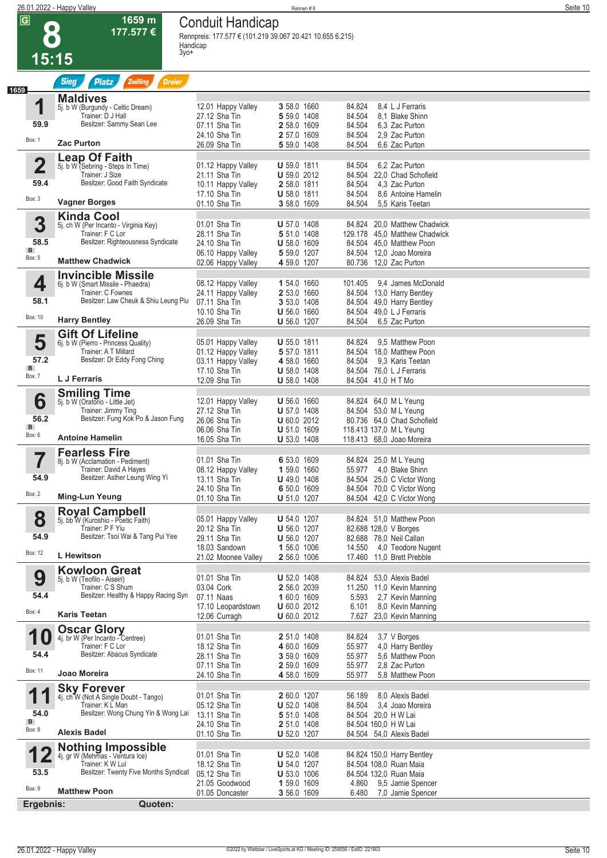|                         | 26.01.2022 - Happy Valley                                    |                                                                                      | Rennen#8                                 |                                                           | Seite 10 |
|-------------------------|--------------------------------------------------------------|--------------------------------------------------------------------------------------|------------------------------------------|-----------------------------------------------------------|----------|
| $\overline{\mathbf{G}}$ | 1659 m<br>177.577 €                                          | <b>Conduit Handicap</b><br>Rennpreis: 177.577 € (101.219 39.067 20.421 10.655 6.215) |                                          |                                                           |          |
| 15:15                   |                                                              | Handicap<br>3yo+                                                                     |                                          |                                                           |          |
|                         | <b>Sieg</b><br>Zwilling<br><b>Dreier</b><br><b>Platz</b>     |                                                                                      |                                          |                                                           |          |
| 1                       | <b>Maldives</b><br>5j. b W (Burgundy - Celtic Dream)         | 12.01 Happy Valley                                                                   | 3 58.0 1660                              | 84.824<br>8.4 L J Ferraris                                |          |
| 59.9                    | Trainer: D J Hall<br>Besitzer: Sammy Sean Lee                | 27.12 Sha Tin                                                                        | 5 59.0 1408                              | 84.504<br>8.1 Blake Shinn                                 |          |
|                         |                                                              | 07.11 Sha Tin<br>24.10 Sha Tin                                                       | 2 58.0 1609<br>2 57.0 1609               | 84.504<br>6.3 Zac Purton<br>84.504<br>2,9 Zac Purton      |          |
| Box: 1                  | <b>Zac Purton</b>                                            | 26.09 Sha Tin                                                                        | 5 59.0 1408                              | 84.504<br>6.6 Zac Purton                                  |          |
| $\overline{\mathbf{2}}$ | <b>Leap Of Faith</b><br>5j. b W (Sebring - Steps In Time)    | 01.12 Happy Valley                                                                   | <b>U</b> 59.0 1811                       | 6,2 Zac Purton<br>84.504                                  |          |
| 59.4                    | Trainer: J Size<br>Besitzer: Good Faith Syndicate            | 21.11 Sha Tin<br>10.11 Happy Valley                                                  | U 59.0 2012<br>2 58.0 1811               | 22,0 Chad Schofield<br>84.504<br>84.504<br>4.3 Zac Purton |          |
| Box: 3                  |                                                              | 17.10 Sha Tin                                                                        | <b>U</b> 58.0 1811                       | 84.504<br>8.6 Antoine Hamelin                             |          |
|                         | <b>Vagner Borges</b>                                         | 01.10 Sha Tin                                                                        | 3 58.0 1609                              | 84.504<br>5.5 Karis Teetan                                |          |
| 3                       | <b>Kinda Cool</b><br>5j. ch W (Per Incanto - Virginia Key)   | 01.01 Sha Tin                                                                        | <b>U</b> 57.0 1408                       | 20,0 Matthew Chadwick<br>84.824                           |          |
| 58.5                    | Trainer: F C Lor<br>Besitzer: Righteousness Syndicate        | 28.11 Sha Tin<br>24.10 Sha Tin                                                       | 5 51.0 1408<br><b>U</b> 58.0 1609        | 129.178 45,0 Matthew Chadwick<br>84.504 45.0 Matthew Poon |          |
| B<br>Box: 5             | <b>Matthew Chadwick</b>                                      | 06.10 Happy Valley                                                                   | 5 59.0 1207                              | 84.504 12,0 Joao Moreira                                  |          |
|                         | <b>Invincible Missile</b>                                    | 02.06 Happy Valley                                                                   | 4 59.0 1207                              | 80.736 12,0 Zac Purton                                    |          |
| 4                       | 6j. b W (Smart Missile - Phaedra)<br>Trainer: C Fownes       | 08.12 Happy Valley                                                                   | 1 54.0 1660                              | 101.405<br>9.4 James McDonald                             |          |
| 58.1                    | Besitzer: Law Cheuk & Shiu Leung Piu                         | 24.11 Happy Valley<br>07.11 Sha Tin                                                  | 2 53.0 1660<br>3 53.0 1408               | 84.504 13,0 Harry Bentley<br>84.504 49,0 Harry Bentley    |          |
| Box: 10                 | <b>Harry Bentley</b>                                         | 10.10 Sha Tin<br>26.09 Sha Tin                                                       | <b>U</b> 56.0 1660<br>U 56.0 1207        | 84.504 49,0 L J Ferraris<br>6,5 Zac Purton<br>84.504      |          |
|                         | <b>Gift Of Lifeline</b>                                      |                                                                                      |                                          |                                                           |          |
| 5                       | 6j. b W (Pierro - Princess Quality)<br>Trainer: A T Millard  | 05.01 Happy Valley<br>01.12 Happy Valley                                             | <b>U</b> 55.0 1811<br>5 57.0 1811        | 9,5 Matthew Poon<br>84.824<br>84.504 18.0 Matthew Poon    |          |
| 57.2<br>B               | Besitzer: Dr Eddy Fong Ching                                 | 03.11 Happy Valley                                                                   | 4 58.0 1660                              | 9.3 Karis Teetan<br>84.504                                |          |
| Box: 7                  | <b>L</b> J Ferraris                                          | 17.10 Sha Tin<br>12.09 Sha Tin                                                       | U 58.0 1408<br><b>U</b> 58.0 1408        | 76.0 L J Ferraris<br>84.504<br>84.504 41,0 H T Mo         |          |
|                         | <b>Smiling Time</b>                                          |                                                                                      |                                          |                                                           |          |
| 6                       | 5j. b W (Oratorio - Little Jet)<br>Trainer: Jimmy Ting       | 12.01 Happy Valley<br>27.12 Sha Tin                                                  | <b>U</b> 56.0 1660<br><b>U</b> 57.0 1408 | 84.824 64,0 ML Yeung<br>84.504 53,0 ML Yeung              |          |
| 56.2<br>B               | Besitzer: Fung Kok Po & Jason Fung                           | 26.06 Sha Tin<br>06.06 Sha Tin                                                       | U 60.0 2012<br><b>U</b> 51.0 1609        | 80.736 64,0 Chad Schofield<br>118.413 137,0 ML Yeung      |          |
| Box: 6                  | <b>Antoine Hamelin</b>                                       | 16.05 Sha Tin                                                                        | <b>U</b> 53.0 1408                       | 118.413 68.0 Joao Moreira                                 |          |
| ▀                       | <b>Fearless Fire</b><br>8j. b W (Acclamation - Pediment)     | 01.01 Sha Tin                                                                        | 6 53.0 1609                              | 84.824 25,0 ML Yeung                                      |          |
| 54.9                    | Trainer: David A Hayes<br>Besitzer: Asther Leung Wing Yi     | 08.12 Happy Valley                                                                   | 1 59.0 1660                              | 55.977 4,0 Blake Shinn                                    |          |
|                         |                                                              | 13.11 Sha Tin<br>24.10 Sha Tin                                                       | $U$ 49.0 1408<br>6 50.0 1609             | 84.504 25,0 C Victor Wong<br>84.504 70,0 C Victor Wong    |          |
| Box: 2                  | Ming-Lun Yeung                                               | 01.10 Sha Tin                                                                        | <b>U</b> 51.0 1207                       | 84.504 42,0 C Victor Wong                                 |          |
| 8                       | <b>Royal Campbell</b><br>5j. bb W (Kuroshio - Poetic Faith)  | 05.01 Happy Valley                                                                   | <b>U</b> 54.0 1207                       | 84.824 51,0 Matthew Poon                                  |          |
| 54.9                    | Trainer: P F Yiu<br>Besitzer: Tsoi Wai & Tang Pui Yee        | 20.12 Sha Tin<br>29.11 Sha Tin                                                       | <b>U</b> 56.0 1207<br><b>U</b> 56.0 1207 | 82.688 128,0 V Borges<br>82.688 78,0 Neil Callan          |          |
| Box: 12                 | <b>L</b> Hewitson                                            | 18.03 Sandown                                                                        | 1 56.0 1006                              | 14.550 4,0 Teodore Nugent                                 |          |
|                         | <b>Kowloon Great</b>                                         | 21.02 Moonee Valley                                                                  | 2 56.0 1006                              | 17.460 11.0 Brett Prebble                                 |          |
| 9                       | 5j. b W (Teofilo - Aiseiri)                                  | 01.01 Sha Tin                                                                        | <b>U</b> 52.0 1408                       | 84.824 53,0 Alexis Badel                                  |          |
| 54.4                    | Trainer: C S Shum<br>Besitzer: Healthy & Happy Racing Syn    | 03.04 Cork<br>07.11 Naas                                                             | 2 56.0 2039<br>1 60.0 1609               | 11.250 11,0 Kevin Manning<br>5.593<br>2,7 Kevin Manning   |          |
| Box: 4                  | Karis Teetan                                                 | 17.10 Leopardstown<br>12.06 Curragh                                                  | <b>U</b> 60.0 2012<br><b>U</b> 60.0 2012 | 8,0 Kevin Manning<br>6.101<br>7.627 23,0 Kevin Manning    |          |
|                         | <b>Oscar Glory</b>                                           |                                                                                      |                                          |                                                           |          |
| <b>10</b>               | 4j. br W (Per Incanto - Centree)<br>Trainer: F C Lor         | 01.01 Sha Tin<br>18.12 Sha Tin                                                       | 2 51.0 1408<br>4 60.0 1609               | 84.824<br>3,7 V Borges<br>55.977<br>4,0 Harry Bentley     |          |
| 54.4                    | Besitzer: Abacus Syndicate                                   | 28.11 Sha Tin                                                                        | 3 59.0 1609                              | 55.977<br>5.6 Matthew Poon                                |          |
| Box: 11                 | Joao Moreira                                                 | 07.11 Sha Tin<br>24.10 Sha Tin                                                       | 2 59.0 1609<br>4 58.0 1609               | 55.977<br>2.8 Zac Purton<br>55.977<br>5.8 Matthew Poon    |          |
| 1<br>1                  | <b>Sky Forever</b><br>4j. ch W (Not A Single Doubt - Tango)  | 01.01 Sha Tin                                                                        | 2 60.0 1207                              | 56.189<br>8.0 Alexis Badel                                |          |
|                         | Trainer: K L Man                                             | 05.12 Sha Tin                                                                        | <b>U</b> 52.0 1408                       | 84.504<br>3,4 Joao Moreira                                |          |
| 54.0<br>$\mathbf{B}$    | Besitzer: Wong Chung Yin & Wong Lai                          | 13.11 Sha Tin<br>24.10 Sha Tin                                                       | 5 51.0 1408<br>2 51.0 1408               | 84.504 20,0 H W Lai<br>84.504 160,0 H W Lai               |          |
| Box: 8                  | <b>Alexis Badel</b>                                          | 01.10 Sha Tin                                                                        | <b>U</b> 52.0 1207                       | 84.504 54,0 Alexis Badel                                  |          |
|                         | <b>Nothing Impossible</b><br>4j. gr W (Mehmas - Ventura Ice) | 01.01 Sha Tin                                                                        | <b>U</b> 52.0 1408                       | 84.824 150,0 Harry Bentley                                |          |
|                         | Trainer: K W Lui<br>Besitzer: Twenty Five Months Syndicat    | 18.12 Sha Tin                                                                        | <b>U</b> 54.0 1207                       | 84.504 108,0 Ruan Maia                                    |          |
| 53.5                    |                                                              | 05.12 Sha Tin<br>21.05 Goodwood                                                      | <b>U</b> 53.0 1006<br>1 59.0 1609        | 84.504 132,0 Ruan Maia<br>4.860<br>9,5 Jamie Spencer      |          |
| Box: 9                  | <b>Matthew Poon</b>                                          | 01.05 Doncaster                                                                      | 3 56.0 1609                              | 6.480<br>7,0 Jamie Spencer                                |          |
| Ergebnis:               | Quoten:                                                      |                                                                                      |                                          |                                                           |          |